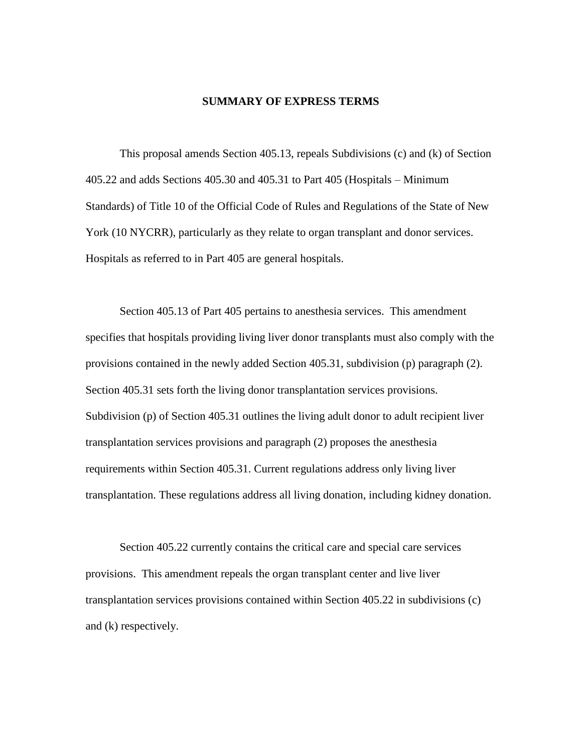### **SUMMARY OF EXPRESS TERMS**

This proposal amends Section 405.13, repeals Subdivisions (c) and (k) of Section 405.22 and adds Sections 405.30 and 405.31 to Part 405 (Hospitals – Minimum Standards) of Title 10 of the Official Code of Rules and Regulations of the State of New York (10 NYCRR), particularly as they relate to organ transplant and donor services. Hospitals as referred to in Part 405 are general hospitals.

Section 405.13 of Part 405 pertains to anesthesia services. This amendment specifies that hospitals providing living liver donor transplants must also comply with the provisions contained in the newly added Section 405.31, subdivision (p) paragraph (2). Section 405.31 sets forth the living donor transplantation services provisions. Subdivision (p) of Section 405.31 outlines the living adult donor to adult recipient liver transplantation services provisions and paragraph (2) proposes the anesthesia requirements within Section 405.31. Current regulations address only living liver transplantation. These regulations address all living donation, including kidney donation.

Section 405.22 currently contains the critical care and special care services provisions. This amendment repeals the organ transplant center and live liver transplantation services provisions contained within Section 405.22 in subdivisions (c) and (k) respectively.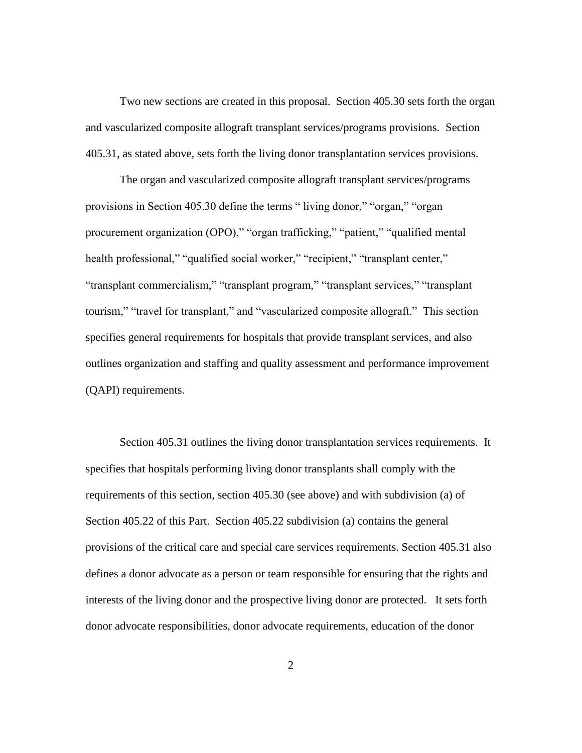Two new sections are created in this proposal. Section 405.30 sets forth the organ and vascularized composite allograft transplant services/programs provisions. Section 405.31, as stated above, sets forth the living donor transplantation services provisions.

The organ and vascularized composite allograft transplant services/programs provisions in Section 405.30 define the terms " living donor," "organ," "organ procurement organization (OPO)," "organ trafficking," "patient," "qualified mental health professional," "qualified social worker," "recipient," "transplant center," "transplant commercialism," "transplant program," "transplant services," "transplant tourism," "travel for transplant," and "vascularized composite allograft." This section specifies general requirements for hospitals that provide transplant services, and also outlines organization and staffing and quality assessment and performance improvement (QAPI) requirements.

Section 405.31 outlines the living donor transplantation services requirements. It specifies that hospitals performing living donor transplants shall comply with the requirements of this section, section 405.30 (see above) and with subdivision (a) of Section 405.22 of this Part. Section 405.22 subdivision (a) contains the general provisions of the critical care and special care services requirements. Section 405.31 also defines a donor advocate as a person or team responsible for ensuring that the rights and interests of the living donor and the prospective living donor are protected. It sets forth donor advocate responsibilities, donor advocate requirements, education of the donor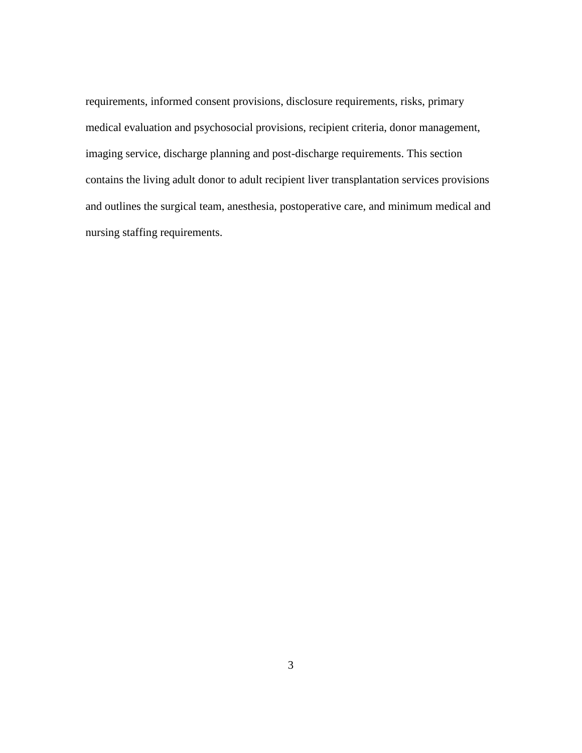requirements, informed consent provisions, disclosure requirements, risks, primary medical evaluation and psychosocial provisions, recipient criteria, donor management, imaging service, discharge planning and post-discharge requirements. This section contains the living adult donor to adult recipient liver transplantation services provisions and outlines the surgical team, anesthesia, postoperative care, and minimum medical and nursing staffing requirements.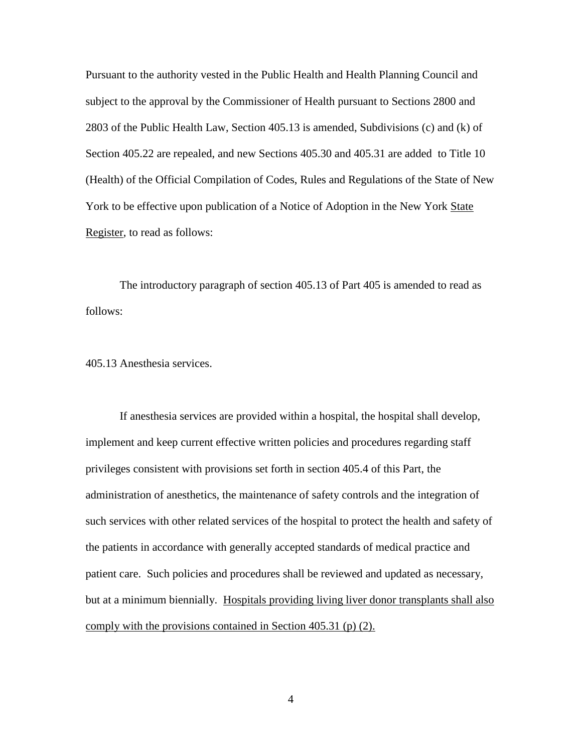Pursuant to the authority vested in the Public Health and Health Planning Council and subject to the approval by the Commissioner of Health pursuant to Sections 2800 and 2803 of the Public Health Law, Section 405.13 is amended, Subdivisions (c) and (k) of Section 405.22 are repealed, and new Sections 405.30 and 405.31 are added to Title 10 (Health) of the Official Compilation of Codes, Rules and Regulations of the State of New York to be effective upon publication of a Notice of Adoption in the New York State Register, to read as follows:

The introductory paragraph of section 405.13 of Part 405 is amended to read as follows:

405.13 Anesthesia services.

If anesthesia services are provided within a hospital, the hospital shall develop, implement and keep current effective written policies and procedures regarding staff privileges consistent with provisions set forth in section 405.4 of this Part, the administration of anesthetics, the maintenance of safety controls and the integration of such services with other related services of the hospital to protect the health and safety of the patients in accordance with generally accepted standards of medical practice and patient care. Such policies and procedures shall be reviewed and updated as necessary, but at a minimum biennially. Hospitals providing living liver donor transplants shall also comply with the provisions contained in Section 405.31 (p) (2).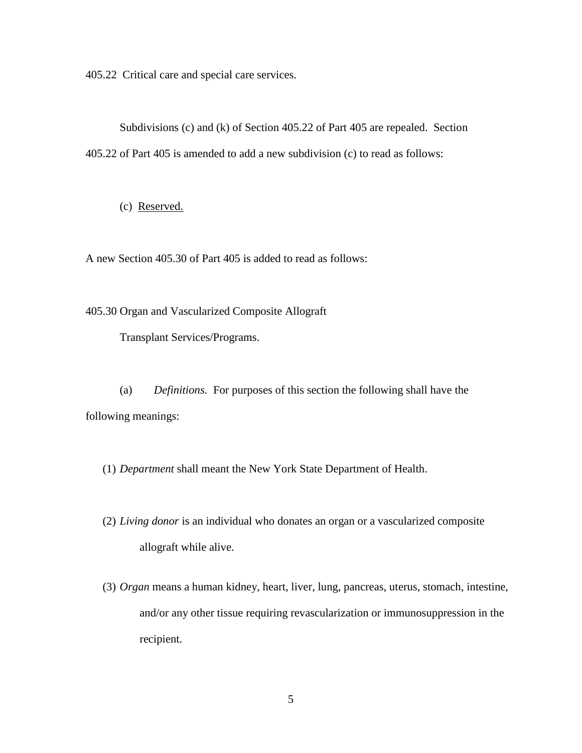405.22 Critical care and special care services.

Subdivisions (c) and (k) of Section 405.22 of Part 405 are repealed. Section 405.22 of Part 405 is amended to add a new subdivision (c) to read as follows:

(c) Reserved.

A new Section 405.30 of Part 405 is added to read as follows:

405.30 Organ and Vascularized Composite Allograft

Transplant Services/Programs.

(a) *Definitions.* For purposes of this section the following shall have the following meanings:

(1) *Department* shall meant the New York State Department of Health.

- (2) *Living donor* is an individual who donates an organ or a vascularized composite allograft while alive.
- (3) *Organ* means a human kidney, heart, liver, lung, pancreas, uterus, stomach, intestine, and/or any other tissue requiring revascularization or immunosuppression in the recipient.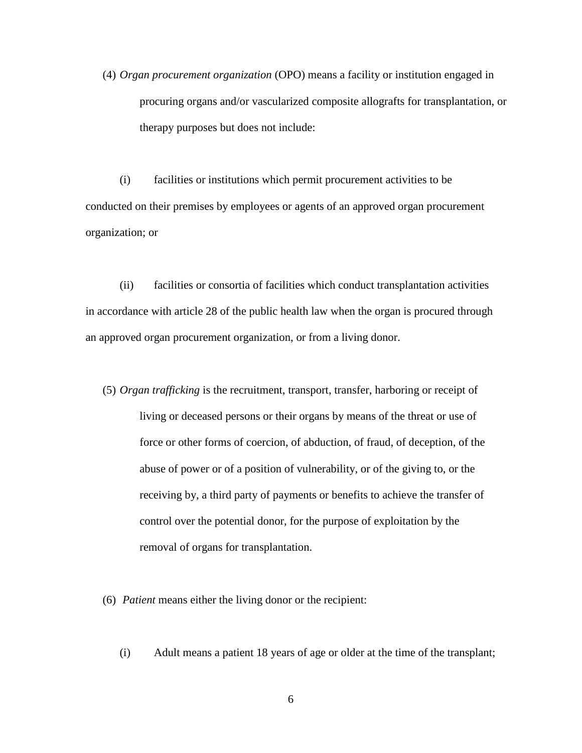(4) *Organ procurement organization* (OPO) means a facility or institution engaged in procuring organs and/or vascularized composite allografts for transplantation, or therapy purposes but does not include:

(i) facilities or institutions which permit procurement activities to be conducted on their premises by employees or agents of an approved organ procurement organization; or

(ii) facilities or consortia of facilities which conduct transplantation activities in accordance with article 28 of the public health law when the organ is procured through an approved organ procurement organization, or from a living donor.

- (5) *Organ trafficking* is the recruitment, transport, transfer, harboring or receipt of living or deceased persons or their organs by means of the threat or use of force or other forms of coercion, of abduction, of fraud, of deception, of the abuse of power or of a position of vulnerability, or of the giving to, or the receiving by, a third party of payments or benefits to achieve the transfer of control over the potential donor, for the purpose of exploitation by the removal of organs for transplantation.
- (6) *Patient* means either the living donor or the recipient:
	- (i) Adult means a patient 18 years of age or older at the time of the transplant;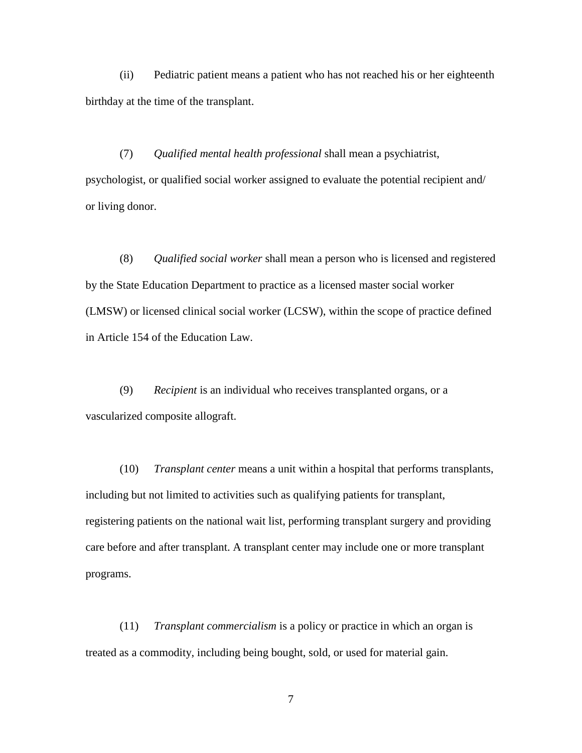(ii) Pediatric patient means a patient who has not reached his or her eighteenth birthday at the time of the transplant.

(7) *Qualified mental health professional* shall mean a psychiatrist, psychologist, or qualified social worker assigned to evaluate the potential recipient and/ or living donor.

(8) *Qualified social worker* shall mean a person who is licensed and registered by the State Education Department to practice as a licensed master social worker (LMSW) or licensed clinical social worker (LCSW), within the scope of practice defined in Article 154 of the Education Law.

(9) *Recipient* is an individual who receives transplanted organs, or a vascularized composite allograft.

(10) *Transplant center* means a unit within a hospital that performs transplants, including but not limited to activities such as qualifying patients for transplant, registering patients on the national wait list, performing transplant surgery and providing care before and after transplant. A transplant center may include one or more transplant programs.

(11) *Transplant commercialism* is a policy or practice in which an organ is treated as a commodity, including being bought, sold, or used for material gain.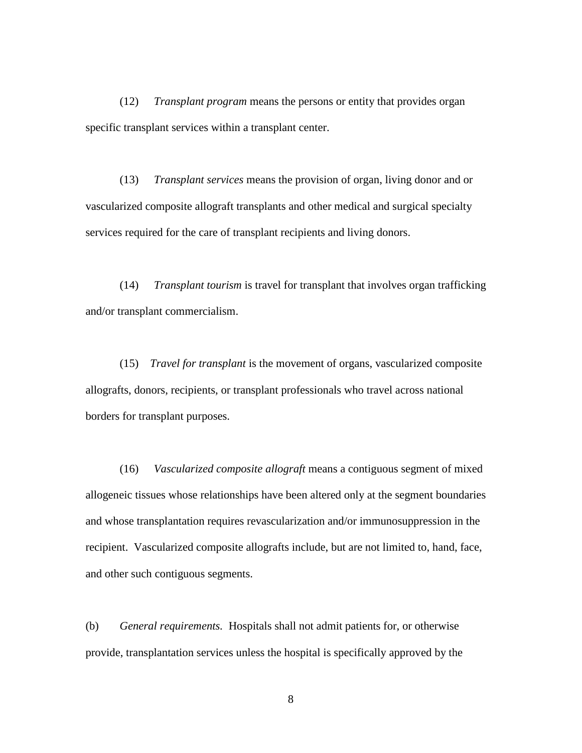(12) *Transplant program* means the persons or entity that provides organ specific transplant services within a transplant center.

(13) *Transplant services* means the provision of organ, living donor and or vascularized composite allograft transplants and other medical and surgical specialty services required for the care of transplant recipients and living donors.

(14) *Transplant tourism* is travel for transplant that involves organ trafficking and/or transplant commercialism.

(15) *Travel for transplant* is the movement of organs, vascularized composite allografts, donors, recipients, or transplant professionals who travel across national borders for transplant purposes.

(16) *Vascularized composite allograft* means a contiguous segment of mixed allogeneic tissues whose relationships have been altered only at the segment boundaries and whose transplantation requires revascularization and/or immunosuppression in the recipient. Vascularized composite allografts include, but are not limited to, hand, face, and other such contiguous segments.

(b) *General requirements.* Hospitals shall not admit patients for, or otherwise provide, transplantation services unless the hospital is specifically approved by the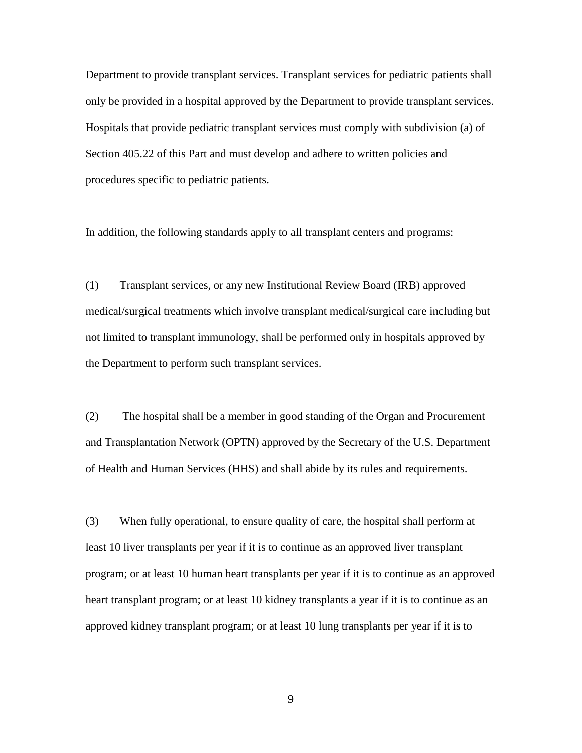Department to provide transplant services. Transplant services for pediatric patients shall only be provided in a hospital approved by the Department to provide transplant services. Hospitals that provide pediatric transplant services must comply with subdivision (a) of Section 405.22 of this Part and must develop and adhere to written policies and procedures specific to pediatric patients.

In addition, the following standards apply to all transplant centers and programs:

(1) Transplant services, or any new Institutional Review Board (IRB) approved medical/surgical treatments which involve transplant medical/surgical care including but not limited to transplant immunology, shall be performed only in hospitals approved by the Department to perform such transplant services.

(2) The hospital shall be a member in good standing of the Organ and Procurement and Transplantation Network (OPTN) approved by the Secretary of the U.S. Department of Health and Human Services (HHS) and shall abide by its rules and requirements.

(3) When fully operational, to ensure quality of care, the hospital shall perform at least 10 liver transplants per year if it is to continue as an approved liver transplant program; or at least 10 human heart transplants per year if it is to continue as an approved heart transplant program; or at least 10 kidney transplants a year if it is to continue as an approved kidney transplant program; or at least 10 lung transplants per year if it is to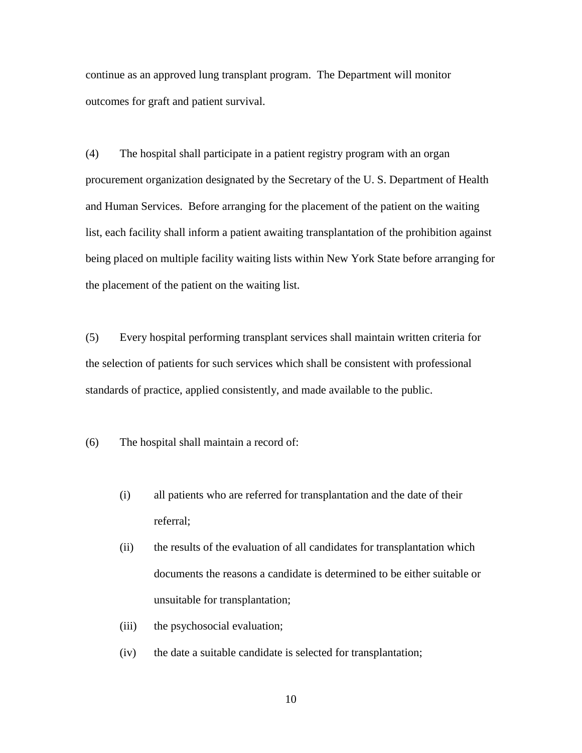continue as an approved lung transplant program. The Department will monitor outcomes for graft and patient survival.

(4) The hospital shall participate in a patient registry program with an organ procurement organization designated by the Secretary of the U. S. Department of Health and Human Services. Before arranging for the placement of the patient on the waiting list, each facility shall inform a patient awaiting transplantation of the prohibition against being placed on multiple facility waiting lists within New York State before arranging for the placement of the patient on the waiting list.

(5) Every hospital performing transplant services shall maintain written criteria for the selection of patients for such services which shall be consistent with professional standards of practice, applied consistently, and made available to the public.

(6) The hospital shall maintain a record of:

- (i) all patients who are referred for transplantation and the date of their referral;
- (ii) the results of the evaluation of all candidates for transplantation which documents the reasons a candidate is determined to be either suitable or unsuitable for transplantation;
- (iii) the psychosocial evaluation;
- (iv) the date a suitable candidate is selected for transplantation;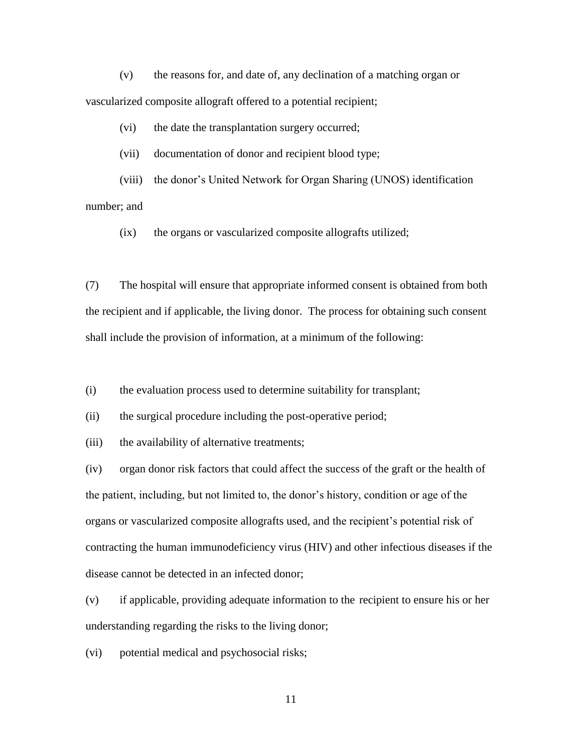(v) the reasons for, and date of, any declination of a matching organ or vascularized composite allograft offered to a potential recipient;

(vi) the date the transplantation surgery occurred;

(vii) documentation of donor and recipient blood type;

(viii) the donor's United Network for Organ Sharing (UNOS) identification number; and

(ix) the organs or vascularized composite allografts utilized;

(7) The hospital will ensure that appropriate informed consent is obtained from both the recipient and if applicable, the living donor. The process for obtaining such consent shall include the provision of information, at a minimum of the following:

(i) the evaluation process used to determine suitability for transplant;

(ii) the surgical procedure including the post-operative period;

(iii) the availability of alternative treatments;

(iv) organ donor risk factors that could affect the success of the graft or the health of the patient, including, but not limited to, the donor's history, condition or age of the organs or vascularized composite allografts used, and the recipient's potential risk of contracting the human immunodeficiency virus (HIV) and other infectious diseases if the disease cannot be detected in an infected donor;

(v) if applicable, providing adequate information to the recipient to ensure his or her understanding regarding the risks to the living donor;

(vi) potential medical and psychosocial risks;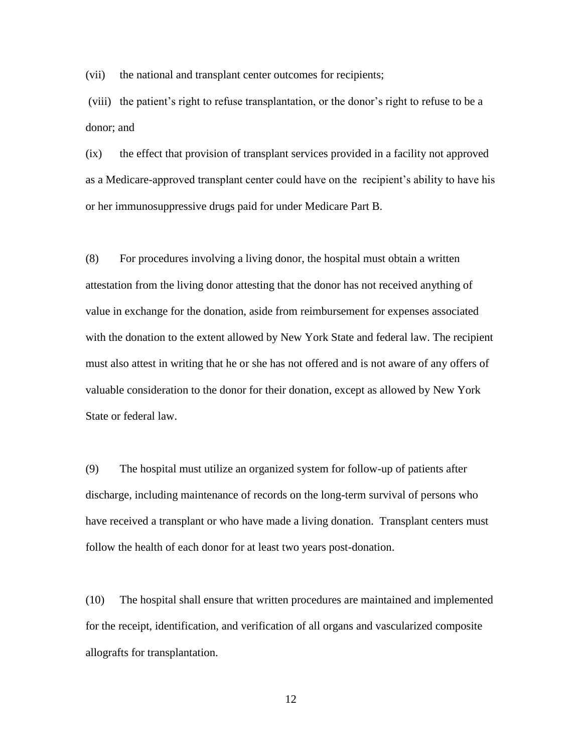(vii) the national and transplant center outcomes for recipients;

(viii) the patient's right to refuse transplantation, or the donor's right to refuse to be a donor; and

(ix) the effect that provision of transplant services provided in a facility not approved as a Medicare-approved transplant center could have on the recipient's ability to have his or her immunosuppressive drugs paid for under Medicare Part B.

(8) For procedures involving a living donor, the hospital must obtain a written attestation from the living donor attesting that the donor has not received anything of value in exchange for the donation, aside from reimbursement for expenses associated with the donation to the extent allowed by New York State and federal law. The recipient must also attest in writing that he or she has not offered and is not aware of any offers of valuable consideration to the donor for their donation, except as allowed by New York State or federal law.

(9) The hospital must utilize an organized system for follow-up of patients after discharge, including maintenance of records on the long-term survival of persons who have received a transplant or who have made a living donation. Transplant centers must follow the health of each donor for at least two years post-donation.

(10) The hospital shall ensure that written procedures are maintained and implemented for the receipt, identification, and verification of all organs and vascularized composite allografts for transplantation.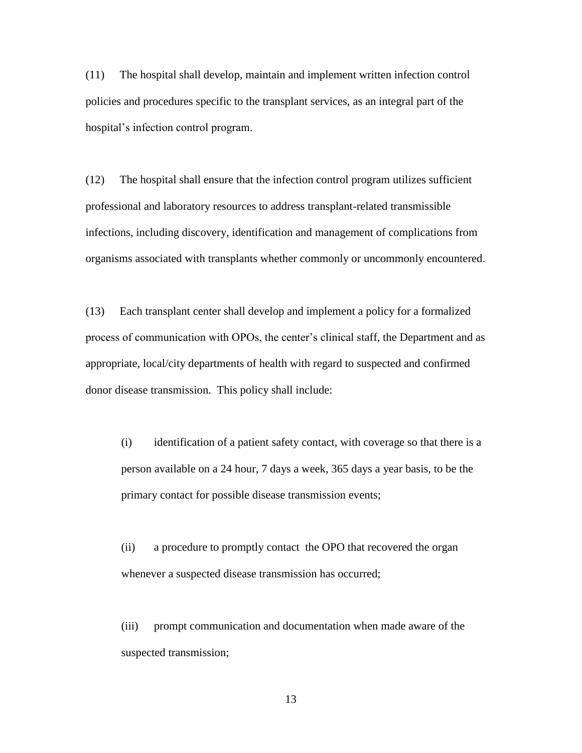(11) The hospital shall develop, maintain and implement written infection control policies and procedures specific to the transplant services, as an integral part of the hospital's infection control program.

(12) The hospital shall ensure that the infection control program utilizes sufficient professional and laboratory resources to address transplant-related transmissible infections, including discovery, identification and management of complications from organisms associated with transplants whether commonly or uncommonly encountered.

(13) Each transplant center shall develop and implement a policy for a formalized process of communication with OPOs, the center's clinical staff, the Department and as appropriate, local/city departments of health with regard to suspected and confirmed donor disease transmission. This policy shall include:

(i) identification of a patient safety contact, with coverage so that there is a person available on a 24 hour, 7 days a week, 365 days a year basis, to be the primary contact for possible disease transmission events;

(ii) a procedure to promptly contact the OPO that recovered the organ whenever a suspected disease transmission has occurred;

(iii) prompt communication and documentation when made aware of the suspected transmission;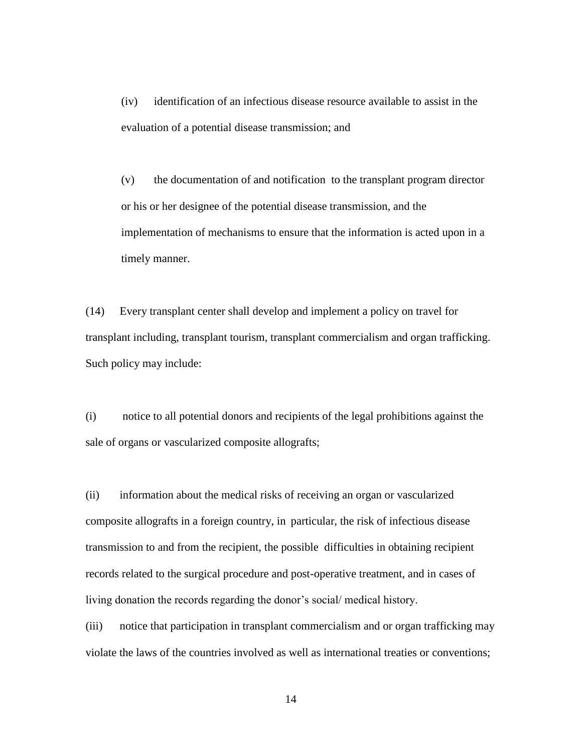(iv) identification of an infectious disease resource available to assist in the evaluation of a potential disease transmission; and

(v) the documentation of and notification to the transplant program director or his or her designee of the potential disease transmission, and the implementation of mechanisms to ensure that the information is acted upon in a timely manner.

(14) Every transplant center shall develop and implement a policy on travel for transplant including, transplant tourism, transplant commercialism and organ trafficking. Such policy may include:

(i) notice to all potential donors and recipients of the legal prohibitions against the sale of organs or vascularized composite allografts;

(ii) information about the medical risks of receiving an organ or vascularized composite allografts in a foreign country, in particular, the risk of infectious disease transmission to and from the recipient, the possible difficulties in obtaining recipient records related to the surgical procedure and post-operative treatment, and in cases of living donation the records regarding the donor's social/ medical history.

(iii) notice that participation in transplant commercialism and or organ trafficking may violate the laws of the countries involved as well as international treaties or conventions;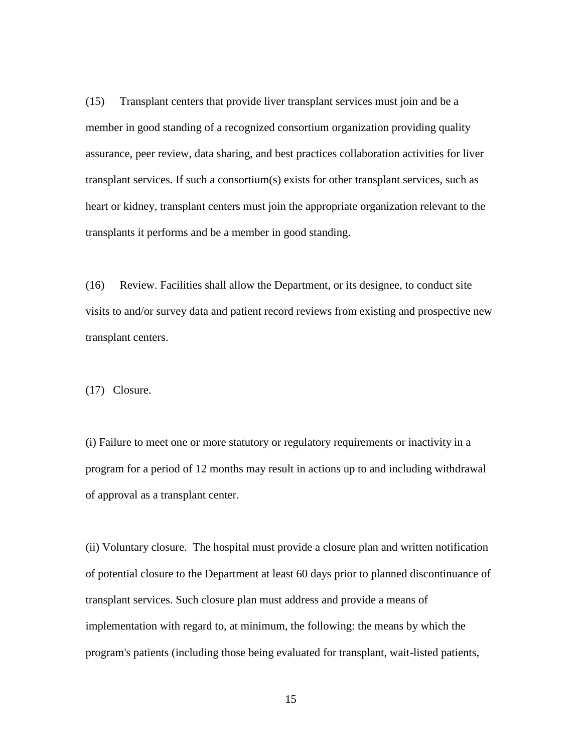(15) Transplant centers that provide liver transplant services must join and be a member in good standing of a recognized consortium organization providing quality assurance, peer review, data sharing, and best practices collaboration activities for liver transplant services. If such a consortium(s) exists for other transplant services, such as heart or kidney, transplant centers must join the appropriate organization relevant to the transplants it performs and be a member in good standing.

(16) Review. Facilities shall allow the Department, or its designee, to conduct site visits to and/or survey data and patient record reviews from existing and prospective new transplant centers.

(17) Closure.

(i) Failure to meet one or more statutory or regulatory requirements or inactivity in a program for a period of 12 months may result in actions up to and including withdrawal of approval as a transplant center.

(ii) Voluntary closure. The hospital must provide a closure plan and written notification of potential closure to the Department at least 60 days prior to planned discontinuance of transplant services. Such closure plan must address and provide a means of implementation with regard to, at minimum, the following: the means by which the program's patients (including those being evaluated for transplant, wait-listed patients,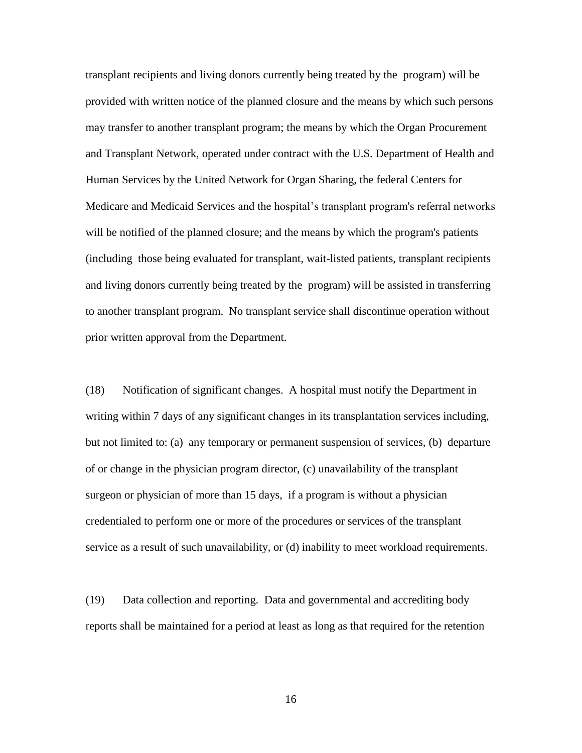transplant recipients and living donors currently being treated by the program) will be provided with written notice of the planned closure and the means by which such persons may transfer to another transplant program; the means by which the Organ Procurement and Transplant Network, operated under contract with the U.S. Department of Health and Human Services by the United Network for Organ Sharing, the federal Centers for Medicare and Medicaid Services and the hospital's transplant program's referral networks will be notified of the planned closure; and the means by which the program's patients (including those being evaluated for transplant, wait-listed patients, transplant recipients and living donors currently being treated by the program) will be assisted in transferring to another transplant program. No transplant service shall discontinue operation without prior written approval from the Department.

(18) Notification of significant changes. A hospital must notify the Department in writing within 7 days of any significant changes in its transplantation services including, but not limited to: (a) any temporary or permanent suspension of services, (b) departure of or change in the physician program director, (c) unavailability of the transplant surgeon or physician of more than 15 days, if a program is without a physician credentialed to perform one or more of the procedures or services of the transplant service as a result of such unavailability, or (d) inability to meet workload requirements.

(19) Data collection and reporting. Data and governmental and accrediting body reports shall be maintained for a period at least as long as that required for the retention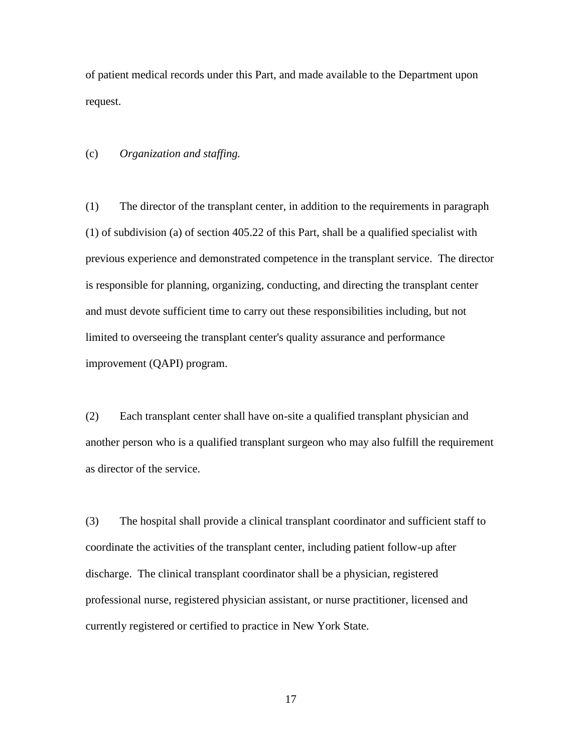of patient medical records under this Part, and made available to the Department upon request.

(c) *Organization and staffing.*

(1) The director of the transplant center, in addition to the requirements in paragraph (1) of subdivision (a) of section 405.22 of this Part, shall be a qualified specialist with previous experience and demonstrated competence in the transplant service. The director is responsible for planning, organizing, conducting, and directing the transplant center and must devote sufficient time to carry out these responsibilities including, but not limited to overseeing the transplant center's quality assurance and performance improvement (QAPI) program.

(2) Each transplant center shall have on-site a qualified transplant physician and another person who is a qualified transplant surgeon who may also fulfill the requirement as director of the service.

(3) The hospital shall provide a clinical transplant coordinator and sufficient staff to coordinate the activities of the transplant center, including patient follow-up after discharge. The clinical transplant coordinator shall be a physician, registered professional nurse, registered physician assistant, or nurse practitioner, licensed and currently registered or certified to practice in New York State.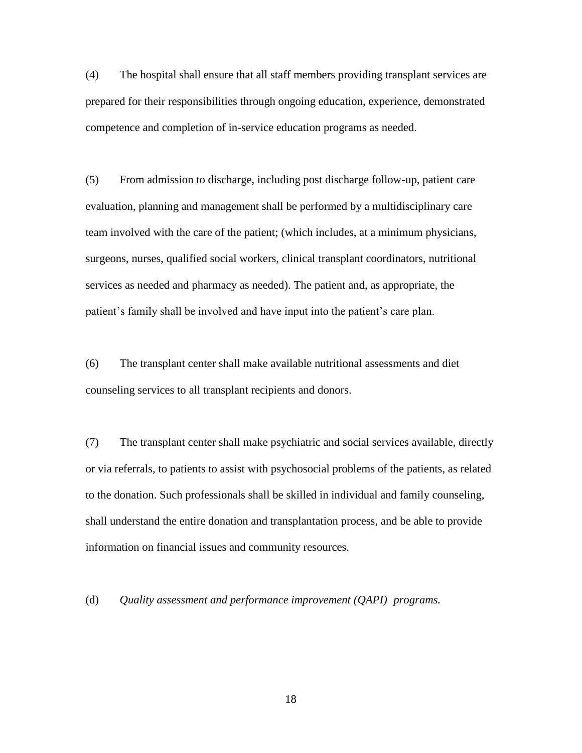(4) The hospital shall ensure that all staff members providing transplant services are prepared for their responsibilities through ongoing education, experience, demonstrated competence and completion of in-service education programs as needed.

(5) From admission to discharge, including post discharge follow-up, patient care evaluation, planning and management shall be performed by a multidisciplinary care team involved with the care of the patient; (which includes, at a minimum physicians, surgeons, nurses, qualified social workers, clinical transplant coordinators, nutritional services as needed and pharmacy as needed). The patient and, as appropriate, the patient's family shall be involved and have input into the patient's care plan.

(6) The transplant center shall make available nutritional assessments and diet counseling services to all transplant recipients and donors.

(7) The transplant center shall make psychiatric and social services available, directly or via referrals, to patients to assist with psychosocial problems of the patients, as related to the donation. Such professionals shall be skilled in individual and family counseling, shall understand the entire donation and transplantation process, and be able to provide information on financial issues and community resources.

(d) *Quality assessment and performance improvement (QAPI) programs.*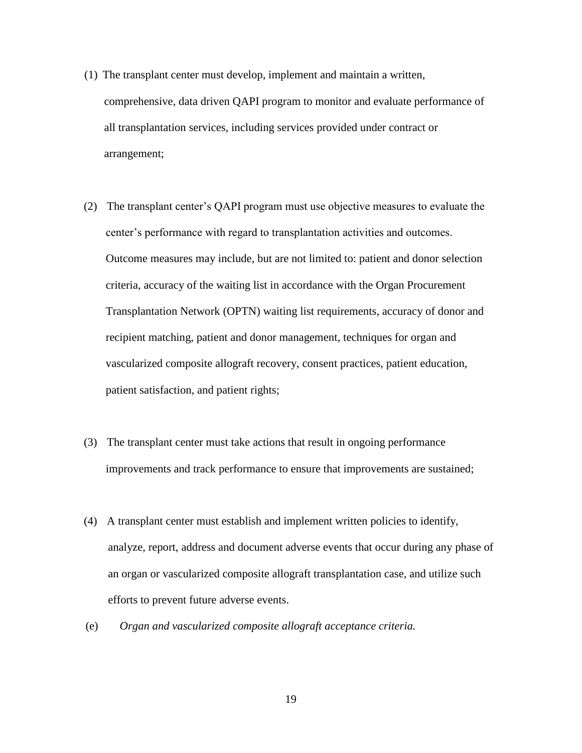- (1) The transplant center must develop, implement and maintain a written, comprehensive, data driven QAPI program to monitor and evaluate performance of all transplantation services, including services provided under contract or arrangement;
- (2) The transplant center's QAPI program must use objective measures to evaluate the center's performance with regard to transplantation activities and outcomes. Outcome measures may include, but are not limited to: patient and donor selection criteria, accuracy of the waiting list in accordance with the Organ Procurement Transplantation Network (OPTN) waiting list requirements, accuracy of donor and recipient matching, patient and donor management, techniques for organ and vascularized composite allograft recovery, consent practices, patient education, patient satisfaction, and patient rights;
- (3) The transplant center must take actions that result in ongoing performance improvements and track performance to ensure that improvements are sustained;
- (4) A transplant center must establish and implement written policies to identify, analyze, report, address and document adverse events that occur during any phase of an organ or vascularized composite allograft transplantation case, and utilize such efforts to prevent future adverse events.
- (e) *Organ and vascularized composite allograft acceptance criteria.*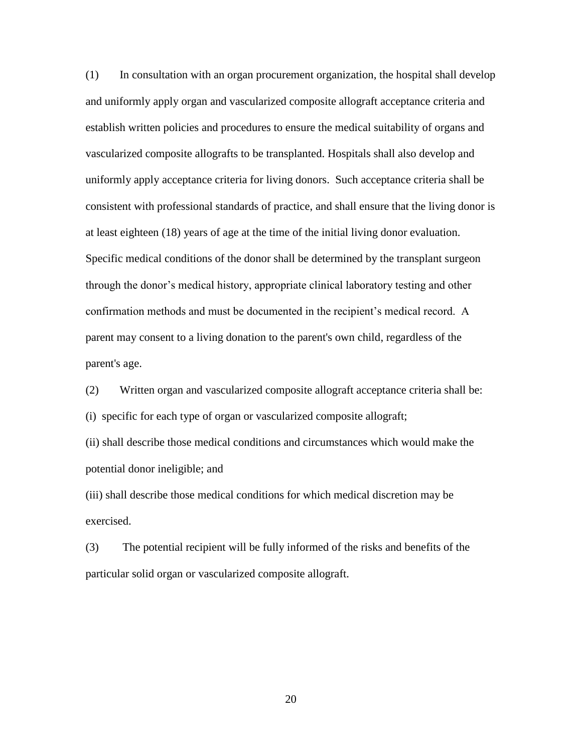(1) In consultation with an organ procurement organization, the hospital shall develop and uniformly apply organ and vascularized composite allograft acceptance criteria and establish written policies and procedures to ensure the medical suitability of organs and vascularized composite allografts to be transplanted. Hospitals shall also develop and uniformly apply acceptance criteria for living donors. Such acceptance criteria shall be consistent with professional standards of practice, and shall ensure that the living donor is at least eighteen (18) years of age at the time of the initial living donor evaluation. Specific medical conditions of the donor shall be determined by the transplant surgeon through the donor's medical history, appropriate clinical laboratory testing and other confirmation methods and must be documented in the recipient's medical record. A parent may consent to a living donation to the parent's own child, regardless of the parent's age.

(2) Written organ and vascularized composite allograft acceptance criteria shall be: (i) specific for each type of organ or vascularized composite allograft; (ii) shall describe those medical conditions and circumstances which would make the

potential donor ineligible; and

(iii) shall describe those medical conditions for which medical discretion may be exercised.

(3) The potential recipient will be fully informed of the risks and benefits of the particular solid organ or vascularized composite allograft.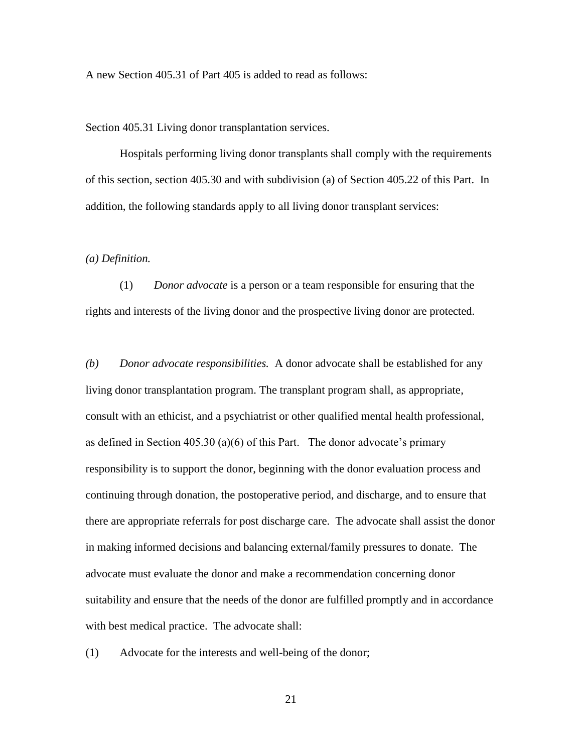A new Section 405.31 of Part 405 is added to read as follows:

Section 405.31 Living donor transplantation services.

Hospitals performing living donor transplants shall comply with the requirements of this section, section 405.30 and with subdivision (a) of Section 405.22 of this Part. In addition, the following standards apply to all living donor transplant services:

### *(a) Definition.*

(1) *Donor advocate* is a person or a team responsible for ensuring that the rights and interests of the living donor and the prospective living donor are protected.

*(b) Donor advocate responsibilities.* A donor advocate shall be established for any living donor transplantation program. The transplant program shall, as appropriate, consult with an ethicist, and a psychiatrist or other qualified mental health professional, as defined in Section 405.30 (a)(6) of this Part. The donor advocate's primary responsibility is to support the donor, beginning with the donor evaluation process and continuing through donation, the postoperative period, and discharge, and to ensure that there are appropriate referrals for post discharge care. The advocate shall assist the donor in making informed decisions and balancing external/family pressures to donate. The advocate must evaluate the donor and make a recommendation concerning donor suitability and ensure that the needs of the donor are fulfilled promptly and in accordance with best medical practice. The advocate shall:

(1) Advocate for the interests and well-being of the donor;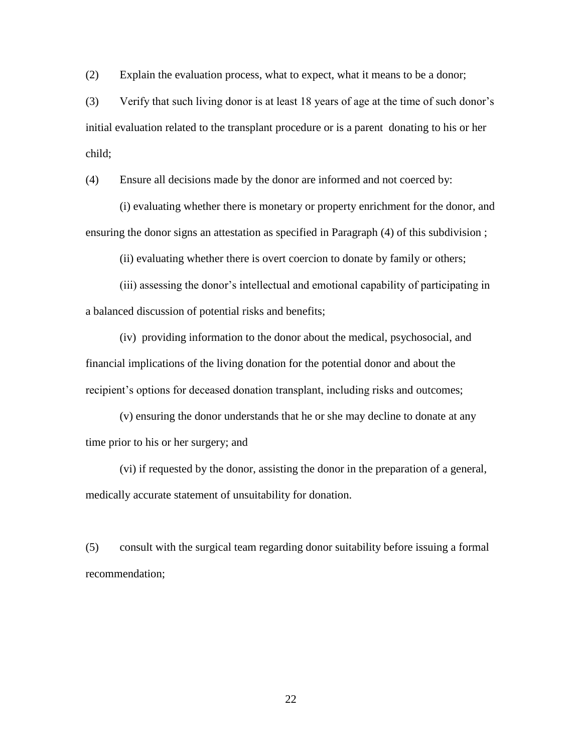(2) Explain the evaluation process, what to expect, what it means to be a donor;

(3) Verify that such living donor is at least 18 years of age at the time of such donor's initial evaluation related to the transplant procedure or is a parent donating to his or her child;

(4) Ensure all decisions made by the donor are informed and not coerced by:

(i) evaluating whether there is monetary or property enrichment for the donor, and ensuring the donor signs an attestation as specified in Paragraph (4) of this subdivision ;

(ii) evaluating whether there is overt coercion to donate by family or others;

(iii) assessing the donor's intellectual and emotional capability of participating in a balanced discussion of potential risks and benefits;

(iv) providing information to the donor about the medical, psychosocial, and financial implications of the living donation for the potential donor and about the recipient's options for deceased donation transplant, including risks and outcomes;

(v) ensuring the donor understands that he or she may decline to donate at any time prior to his or her surgery; and

(vi) if requested by the donor, assisting the donor in the preparation of a general, medically accurate statement of unsuitability for donation.

(5) consult with the surgical team regarding donor suitability before issuing a formal recommendation;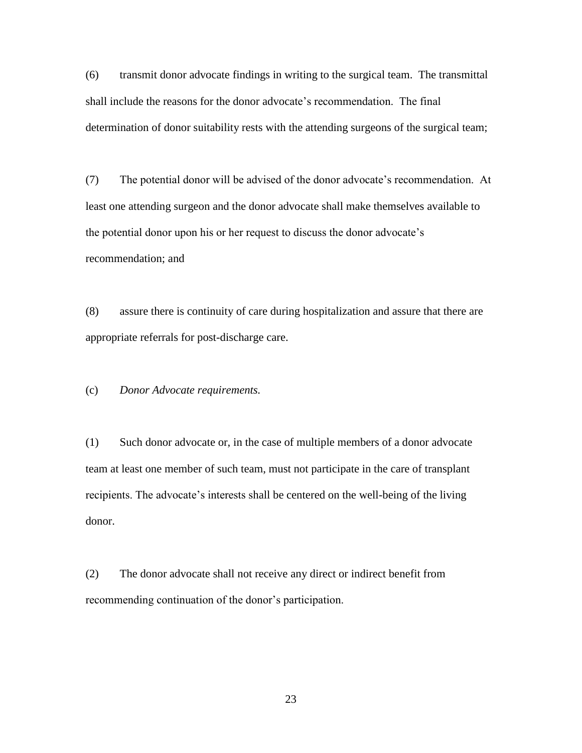(6) transmit donor advocate findings in writing to the surgical team. The transmittal shall include the reasons for the donor advocate's recommendation. The final determination of donor suitability rests with the attending surgeons of the surgical team;

(7) The potential donor will be advised of the donor advocate's recommendation. At least one attending surgeon and the donor advocate shall make themselves available to the potential donor upon his or her request to discuss the donor advocate's recommendation; and

(8) assure there is continuity of care during hospitalization and assure that there are appropriate referrals for post-discharge care.

(c) *Donor Advocate requirements.*

(1) Such donor advocate or, in the case of multiple members of a donor advocate team at least one member of such team, must not participate in the care of transplant recipients. The advocate's interests shall be centered on the well-being of the living donor.

(2) The donor advocate shall not receive any direct or indirect benefit from recommending continuation of the donor's participation.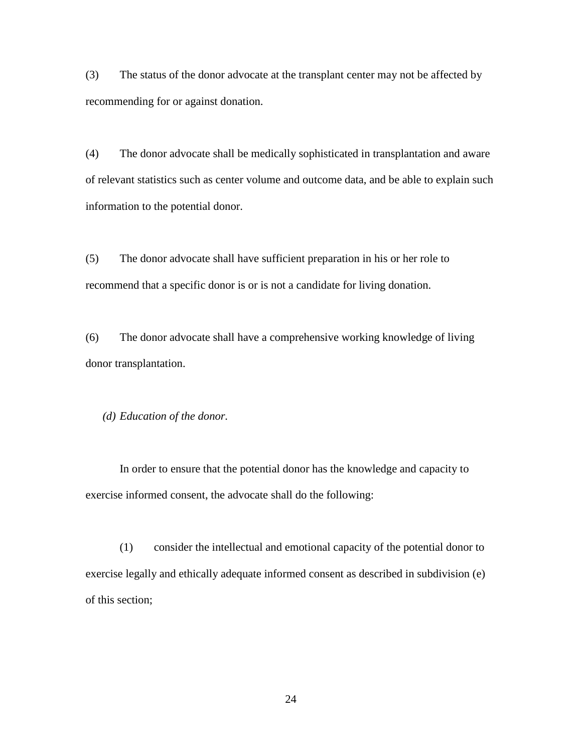(3) The status of the donor advocate at the transplant center may not be affected by recommending for or against donation.

(4) The donor advocate shall be medically sophisticated in transplantation and aware of relevant statistics such as center volume and outcome data, and be able to explain such information to the potential donor.

(5) The donor advocate shall have sufficient preparation in his or her role to recommend that a specific donor is or is not a candidate for living donation.

(6) The donor advocate shall have a comprehensive working knowledge of living donor transplantation.

*(d) Education of the donor.*

In order to ensure that the potential donor has the knowledge and capacity to exercise informed consent, the advocate shall do the following:

(1) consider the intellectual and emotional capacity of the potential donor to exercise legally and ethically adequate informed consent as described in subdivision (e) of this section;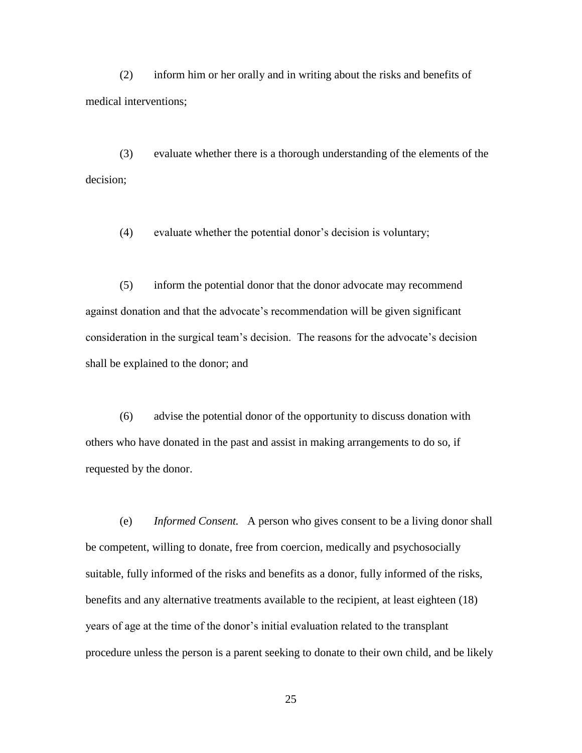(2) inform him or her orally and in writing about the risks and benefits of medical interventions;

(3) evaluate whether there is a thorough understanding of the elements of the decision;

(4) evaluate whether the potential donor's decision is voluntary;

 (5) inform the potential donor that the donor advocate may recommend against donation and that the advocate's recommendation will be given significant consideration in the surgical team's decision. The reasons for the advocate's decision shall be explained to the donor; and

(6) advise the potential donor of the opportunity to discuss donation with others who have donated in the past and assist in making arrangements to do so, if requested by the donor.

(e) *Informed Consent.* A person who gives consent to be a living donor shall be competent, willing to donate, free from coercion, medically and psychosocially suitable, fully informed of the risks and benefits as a donor, fully informed of the risks, benefits and any alternative treatments available to the recipient, at least eighteen (18) years of age at the time of the donor's initial evaluation related to the transplant procedure unless the person is a parent seeking to donate to their own child, and be likely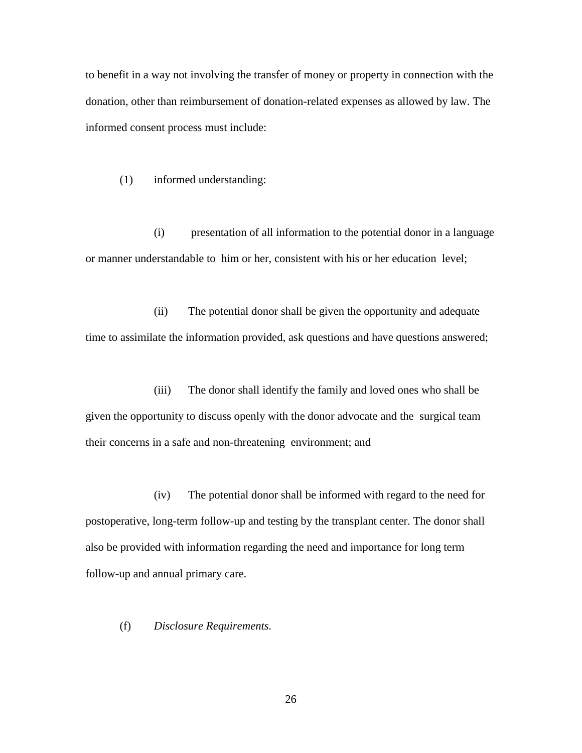to benefit in a way not involving the transfer of money or property in connection with the donation, other than reimbursement of donation-related expenses as allowed by law. The informed consent process must include:

(1) informed understanding:

(i) presentation of all information to the potential donor in a language or manner understandable to him or her, consistent with his or her education level;

(ii) The potential donor shall be given the opportunity and adequate time to assimilate the information provided, ask questions and have questions answered;

(iii) The donor shall identify the family and loved ones who shall be given the opportunity to discuss openly with the donor advocate and the surgical team their concerns in a safe and non-threatening environment; and

(iv) The potential donor shall be informed with regard to the need for postoperative, long-term follow-up and testing by the transplant center. The donor shall also be provided with information regarding the need and importance for long term follow-up and annual primary care.

(f) *Disclosure Requirements.*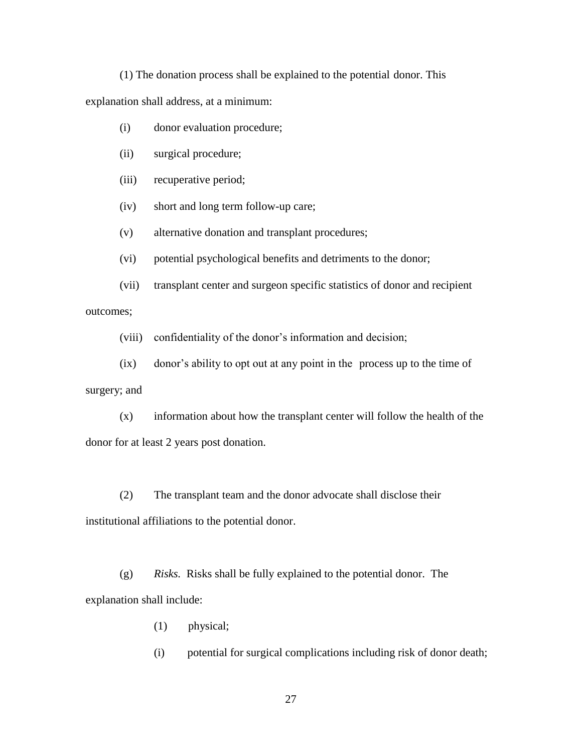(1) The donation process shall be explained to the potential donor. This explanation shall address, at a minimum:

- (i) donor evaluation procedure;
- (ii) surgical procedure;
- (iii) recuperative period;
- (iv) short and long term follow-up care;
- (v) alternative donation and transplant procedures;
- (vi) potential psychological benefits and detriments to the donor;
- (vii) transplant center and surgeon specific statistics of donor and recipient outcomes;

(viii) confidentiality of the donor's information and decision;

(ix) donor's ability to opt out at any point in the process up to the time of

surgery; and

(x) information about how the transplant center will follow the health of the donor for at least 2 years post donation.

(2) The transplant team and the donor advocate shall disclose their institutional affiliations to the potential donor.

(g) *Risks.* Risks shall be fully explained to the potential donor. The explanation shall include:

- (1) physical;
- (i) potential for surgical complications including risk of donor death;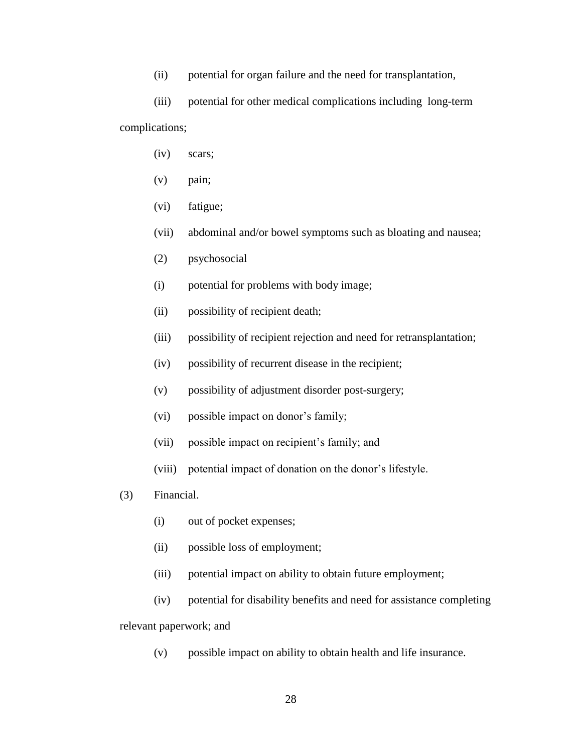(ii) potential for organ failure and the need for transplantation,

(iii) potential for other medical complications including long-term complications;

- (iv) scars;
- (v) pain;
- (vi) fatigue;
- (vii) abdominal and/or bowel symptoms such as bloating and nausea;
- (2) psychosocial
- (i) potential for problems with body image;
- (ii) possibility of recipient death;
- (iii) possibility of recipient rejection and need for retransplantation;
- (iv) possibility of recurrent disease in the recipient;
- (v) possibility of adjustment disorder post-surgery;
- (vi) possible impact on donor's family;
- (vii) possible impact on recipient's family; and
- (viii) potential impact of donation on the donor's lifestyle.
- (3) Financial.
	- (i) out of pocket expenses;
	- (ii) possible loss of employment;
	- (iii) potential impact on ability to obtain future employment;
	- (iv) potential for disability benefits and need for assistance completing

relevant paperwork; and

(v) possible impact on ability to obtain health and life insurance.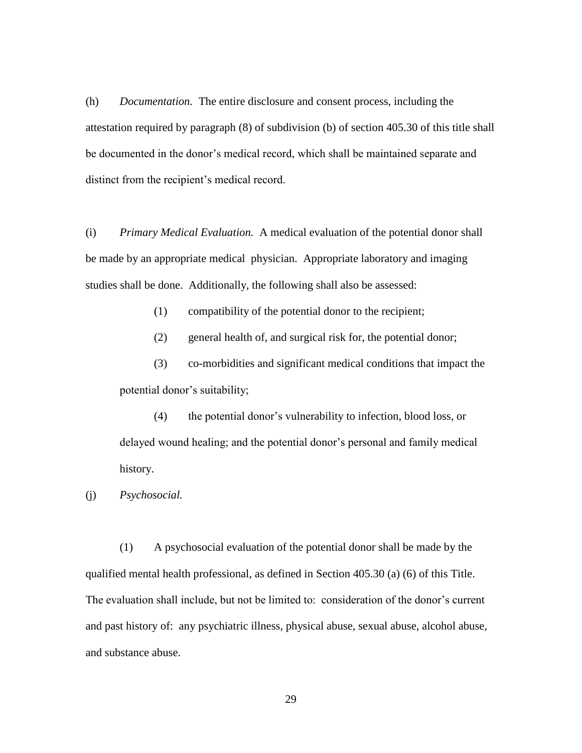(h) *Documentation.* The entire disclosure and consent process, including the attestation required by paragraph (8) of subdivision (b) of section 405.30 of this title shall be documented in the donor's medical record, which shall be maintained separate and distinct from the recipient's medical record.

(i) *Primary Medical Evaluation.* A medical evaluation of the potential donor shall be made by an appropriate medical physician. Appropriate laboratory and imaging studies shall be done. Additionally, the following shall also be assessed:

(1) compatibility of the potential donor to the recipient;

(2) general health of, and surgical risk for, the potential donor;

(3) co-morbidities and significant medical conditions that impact the potential donor's suitability;

(4) the potential donor's vulnerability to infection, blood loss, or delayed wound healing; and the potential donor's personal and family medical history.

(j) *Psychosocial.*

(1) A psychosocial evaluation of the potential donor shall be made by the qualified mental health professional, as defined in Section 405.30 (a) (6) of this Title. The evaluation shall include, but not be limited to: consideration of the donor's current and past history of: any psychiatric illness, physical abuse, sexual abuse, alcohol abuse, and substance abuse.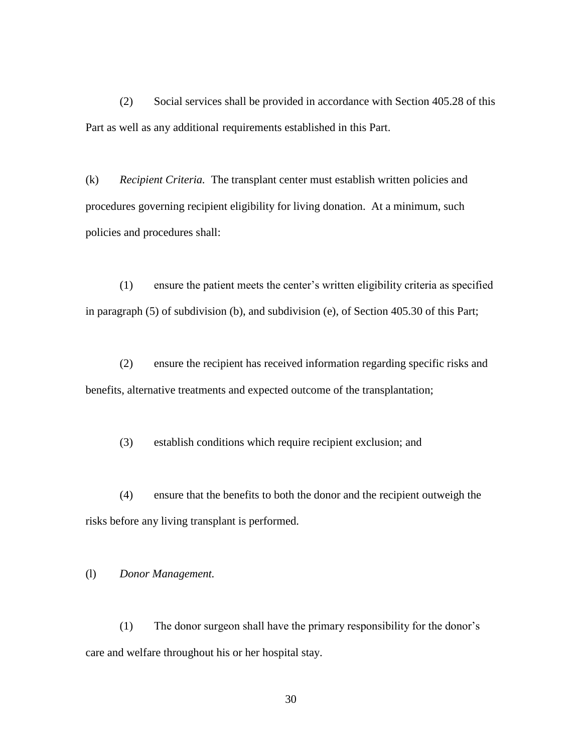(2) Social services shall be provided in accordance with Section 405.28 of this Part as well as any additional requirements established in this Part.

(k) *Recipient Criteria.* The transplant center must establish written policies and procedures governing recipient eligibility for living donation. At a minimum, such policies and procedures shall:

(1) ensure the patient meets the center's written eligibility criteria as specified in paragraph (5) of subdivision (b), and subdivision (e), of Section 405.30 of this Part;

(2) ensure the recipient has received information regarding specific risks and benefits, alternative treatments and expected outcome of the transplantation;

(3) establish conditions which require recipient exclusion; and

(4) ensure that the benefits to both the donor and the recipient outweigh the risks before any living transplant is performed.

# (l) *Donor Management.*

(1) The donor surgeon shall have the primary responsibility for the donor's care and welfare throughout his or her hospital stay.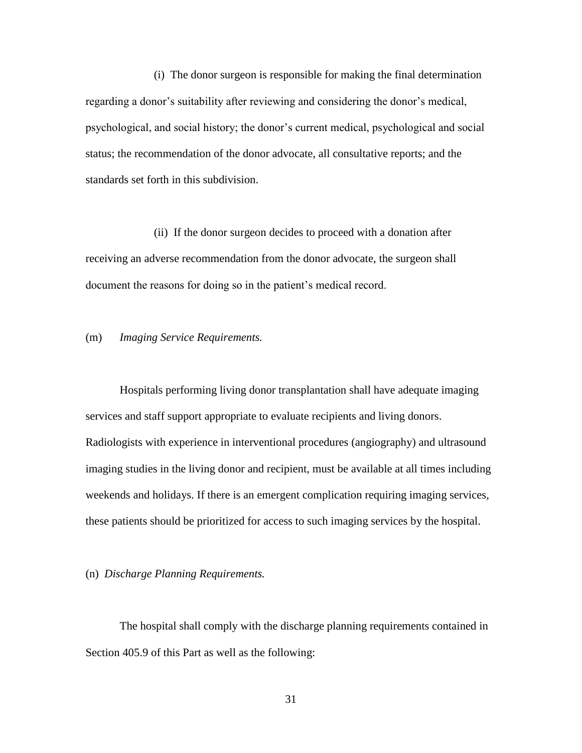(i) The donor surgeon is responsible for making the final determination regarding a donor's suitability after reviewing and considering the donor's medical, psychological, and social history; the donor's current medical, psychological and social status; the recommendation of the donor advocate, all consultative reports; and the standards set forth in this subdivision.

(ii) If the donor surgeon decides to proceed with a donation after receiving an adverse recommendation from the donor advocate, the surgeon shall document the reasons for doing so in the patient's medical record.

### (m) *Imaging Service Requirements.*

Hospitals performing living donor transplantation shall have adequate imaging services and staff support appropriate to evaluate recipients and living donors. Radiologists with experience in interventional procedures (angiography) and ultrasound imaging studies in the living donor and recipient, must be available at all times including weekends and holidays. If there is an emergent complication requiring imaging services, these patients should be prioritized for access to such imaging services by the hospital.

### (n) *Discharge Planning Requirements.*

The hospital shall comply with the discharge planning requirements contained in Section 405.9 of this Part as well as the following: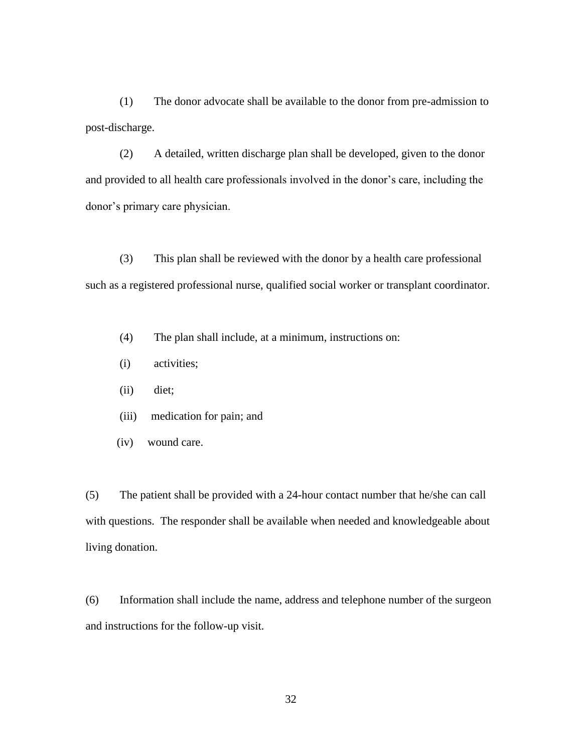(1) The donor advocate shall be available to the donor from pre-admission to post-discharge.

(2) A detailed, written discharge plan shall be developed, given to the donor and provided to all health care professionals involved in the donor's care, including the donor's primary care physician.

(3) This plan shall be reviewed with the donor by a health care professional such as a registered professional nurse, qualified social worker or transplant coordinator.

(4) The plan shall include, at a minimum, instructions on:

- (i) activities;
- (ii) diet;
- (iii) medication for pain; and
- (iv) wound care.

(5) The patient shall be provided with a 24-hour contact number that he/she can call with questions. The responder shall be available when needed and knowledgeable about living donation.

(6) Information shall include the name, address and telephone number of the surgeon and instructions for the follow-up visit.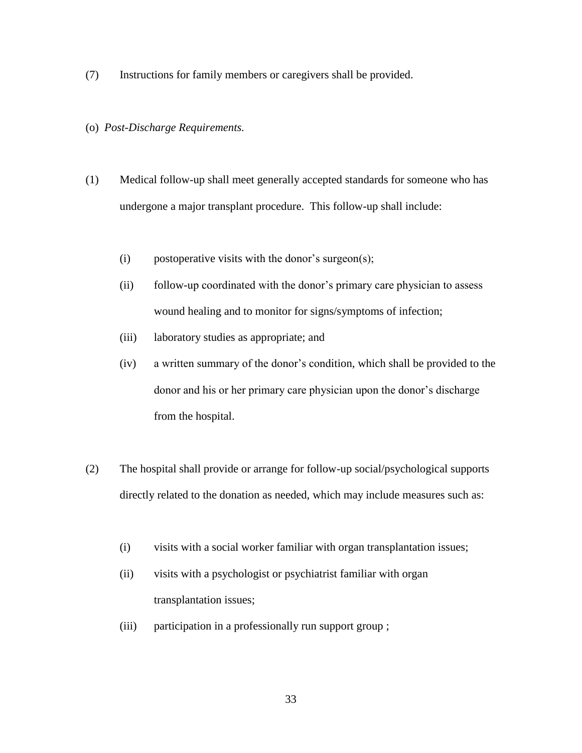(7) Instructions for family members or caregivers shall be provided.

### (o) *Post-Discharge Requirements.*

- (1) Medical follow-up shall meet generally accepted standards for someone who has undergone a major transplant procedure. This follow-up shall include:
	- (i) postoperative visits with the donor's surgeon(s);
	- (ii) follow-up coordinated with the donor's primary care physician to assess wound healing and to monitor for signs/symptoms of infection;
	- (iii) laboratory studies as appropriate; and
	- (iv) a written summary of the donor's condition, which shall be provided to the donor and his or her primary care physician upon the donor's discharge from the hospital.
- (2) The hospital shall provide or arrange for follow-up social/psychological supports directly related to the donation as needed, which may include measures such as:
	- (i) visits with a social worker familiar with organ transplantation issues;
	- (ii) visits with a psychologist or psychiatrist familiar with organ transplantation issues;
	- (iii) participation in a professionally run support group ;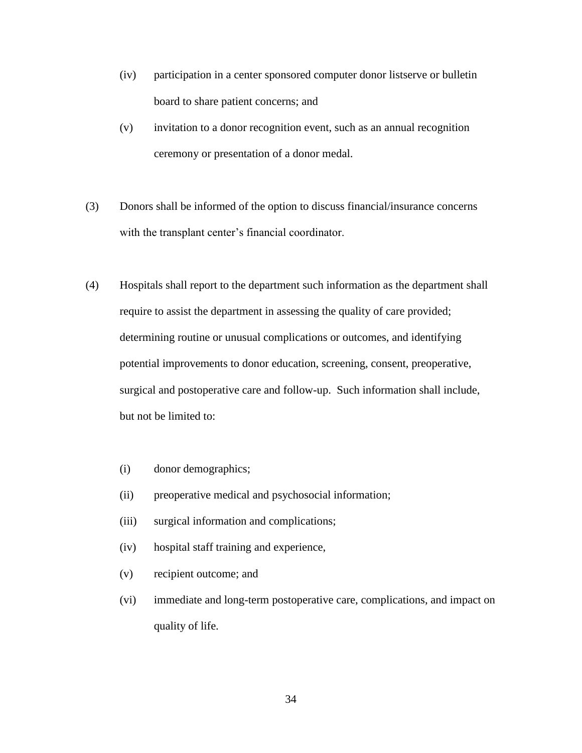- (iv) participation in a center sponsored computer donor listserve or bulletin board to share patient concerns; and
- (v) invitation to a donor recognition event, such as an annual recognition ceremony or presentation of a donor medal.
- (3) Donors shall be informed of the option to discuss financial/insurance concerns with the transplant center's financial coordinator.
- (4) Hospitals shall report to the department such information as the department shall require to assist the department in assessing the quality of care provided; determining routine or unusual complications or outcomes, and identifying potential improvements to donor education, screening, consent, preoperative, surgical and postoperative care and follow-up. Such information shall include, but not be limited to:
	- (i) donor demographics;
	- (ii) preoperative medical and psychosocial information;
	- (iii) surgical information and complications;
	- (iv) hospital staff training and experience,
	- (v) recipient outcome; and
	- (vi) immediate and long-term postoperative care, complications, and impact on quality of life.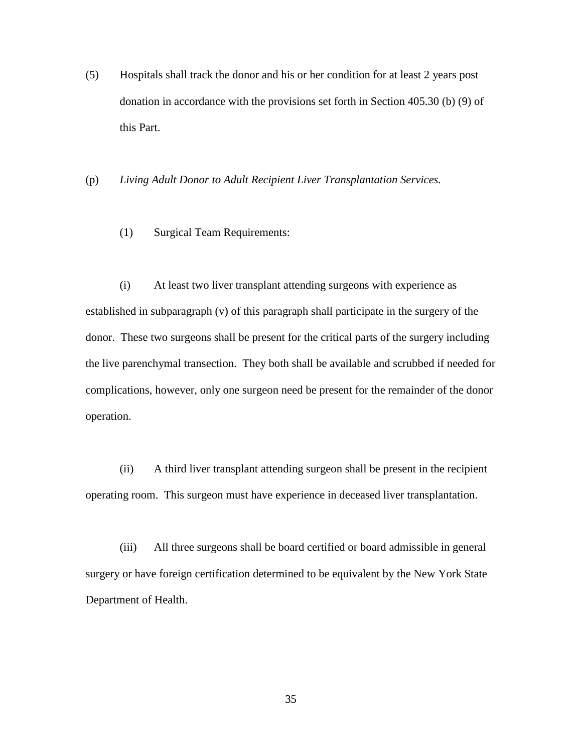(5) Hospitals shall track the donor and his or her condition for at least 2 years post donation in accordance with the provisions set forth in Section 405.30 (b) (9) of this Part.

(p) *Living Adult Donor to Adult Recipient Liver Transplantation Services.*

(1) Surgical Team Requirements:

(i) At least two liver transplant attending surgeons with experience as established in subparagraph (v) of this paragraph shall participate in the surgery of the donor. These two surgeons shall be present for the critical parts of the surgery including the live parenchymal transection. They both shall be available and scrubbed if needed for complications, however, only one surgeon need be present for the remainder of the donor operation.

(ii) A third liver transplant attending surgeon shall be present in the recipient operating room. This surgeon must have experience in deceased liver transplantation.

(iii) All three surgeons shall be board certified or board admissible in general surgery or have foreign certification determined to be equivalent by the New York State Department of Health.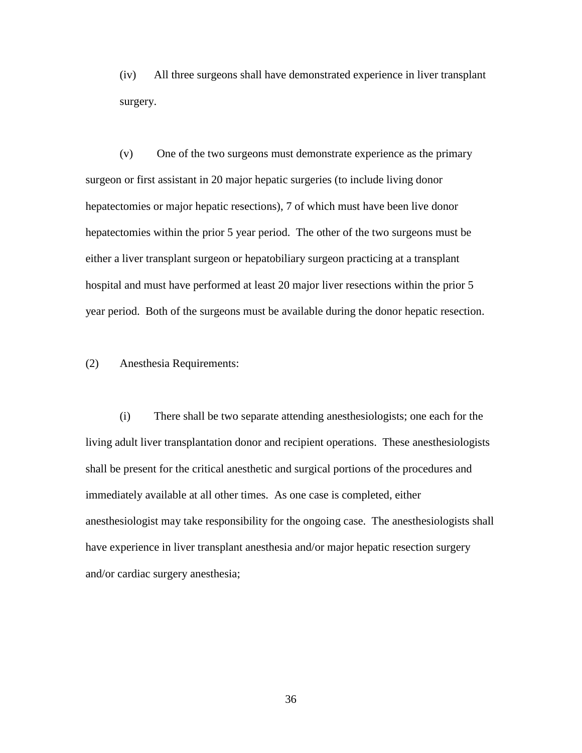(iv) All three surgeons shall have demonstrated experience in liver transplant surgery.

(v) One of the two surgeons must demonstrate experience as the primary surgeon or first assistant in 20 major hepatic surgeries (to include living donor hepatectomies or major hepatic resections), 7 of which must have been live donor hepatectomies within the prior 5 year period. The other of the two surgeons must be either a liver transplant surgeon or hepatobiliary surgeon practicing at a transplant hospital and must have performed at least 20 major liver resections within the prior 5 year period. Both of the surgeons must be available during the donor hepatic resection.

(2) Anesthesia Requirements:

(i) There shall be two separate attending anesthesiologists; one each for the living adult liver transplantation donor and recipient operations. These anesthesiologists shall be present for the critical anesthetic and surgical portions of the procedures and immediately available at all other times. As one case is completed, either anesthesiologist may take responsibility for the ongoing case. The anesthesiologists shall have experience in liver transplant anesthesia and/or major hepatic resection surgery and/or cardiac surgery anesthesia;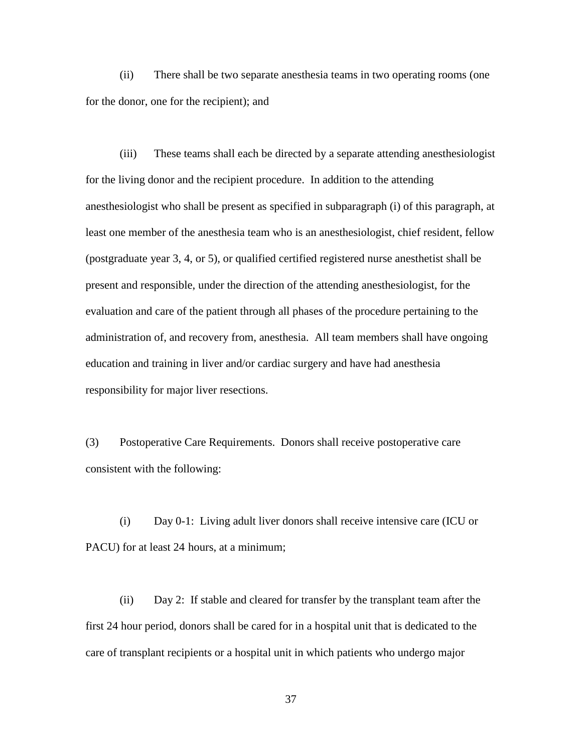(ii) There shall be two separate anesthesia teams in two operating rooms (one for the donor, one for the recipient); and

(iii) These teams shall each be directed by a separate attending anesthesiologist for the living donor and the recipient procedure. In addition to the attending anesthesiologist who shall be present as specified in subparagraph (i) of this paragraph, at least one member of the anesthesia team who is an anesthesiologist, chief resident, fellow (postgraduate year 3, 4, or 5), or qualified certified registered nurse anesthetist shall be present and responsible, under the direction of the attending anesthesiologist, for the evaluation and care of the patient through all phases of the procedure pertaining to the administration of, and recovery from, anesthesia. All team members shall have ongoing education and training in liver and/or cardiac surgery and have had anesthesia responsibility for major liver resections.

(3) Postoperative Care Requirements. Donors shall receive postoperative care consistent with the following:

(i) Day 0-1: Living adult liver donors shall receive intensive care (ICU or PACU) for at least 24 hours, at a minimum;

(ii) Day 2: If stable and cleared for transfer by the transplant team after the first 24 hour period, donors shall be cared for in a hospital unit that is dedicated to the care of transplant recipients or a hospital unit in which patients who undergo major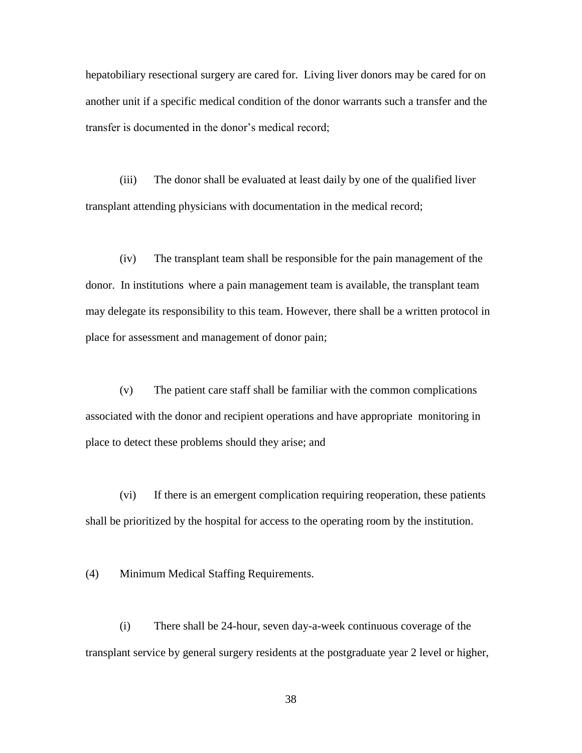hepatobiliary resectional surgery are cared for. Living liver donors may be cared for on another unit if a specific medical condition of the donor warrants such a transfer and the transfer is documented in the donor's medical record;

(iii) The donor shall be evaluated at least daily by one of the qualified liver transplant attending physicians with documentation in the medical record;

(iv) The transplant team shall be responsible for the pain management of the donor. In institutions where a pain management team is available, the transplant team may delegate its responsibility to this team. However, there shall be a written protocol in place for assessment and management of donor pain;

(v) The patient care staff shall be familiar with the common complications associated with the donor and recipient operations and have appropriate monitoring in place to detect these problems should they arise; and

(vi) If there is an emergent complication requiring reoperation, these patients shall be prioritized by the hospital for access to the operating room by the institution.

(4) Minimum Medical Staffing Requirements.

(i) There shall be 24-hour, seven day-a-week continuous coverage of the transplant service by general surgery residents at the postgraduate year 2 level or higher,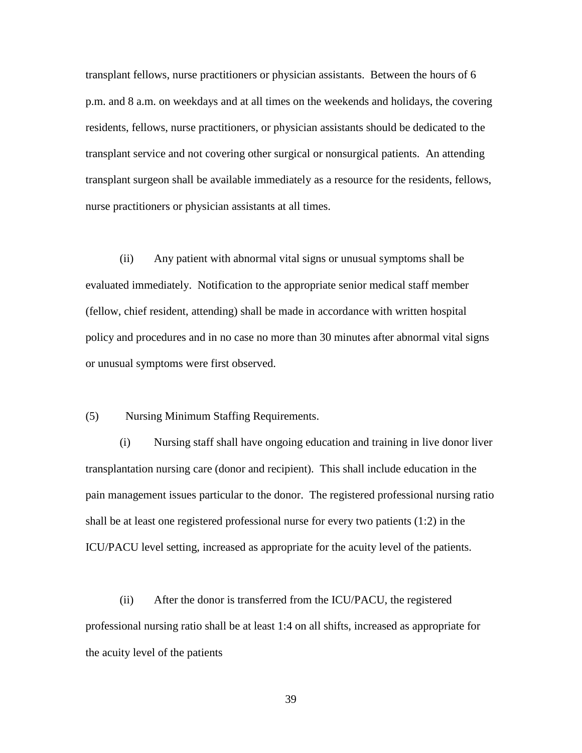transplant fellows, nurse practitioners or physician assistants. Between the hours of 6 p.m. and 8 a.m. on weekdays and at all times on the weekends and holidays, the covering residents, fellows, nurse practitioners, or physician assistants should be dedicated to the transplant service and not covering other surgical or nonsurgical patients. An attending transplant surgeon shall be available immediately as a resource for the residents, fellows, nurse practitioners or physician assistants at all times.

(ii) Any patient with abnormal vital signs or unusual symptoms shall be evaluated immediately. Notification to the appropriate senior medical staff member (fellow, chief resident, attending) shall be made in accordance with written hospital policy and procedures and in no case no more than 30 minutes after abnormal vital signs or unusual symptoms were first observed.

### (5) Nursing Minimum Staffing Requirements.

(i) Nursing staff shall have ongoing education and training in live donor liver transplantation nursing care (donor and recipient). This shall include education in the pain management issues particular to the donor. The registered professional nursing ratio shall be at least one registered professional nurse for every two patients (1:2) in the ICU/PACU level setting, increased as appropriate for the acuity level of the patients.

(ii) After the donor is transferred from the ICU/PACU, the registered professional nursing ratio shall be at least 1:4 on all shifts, increased as appropriate for the acuity level of the patients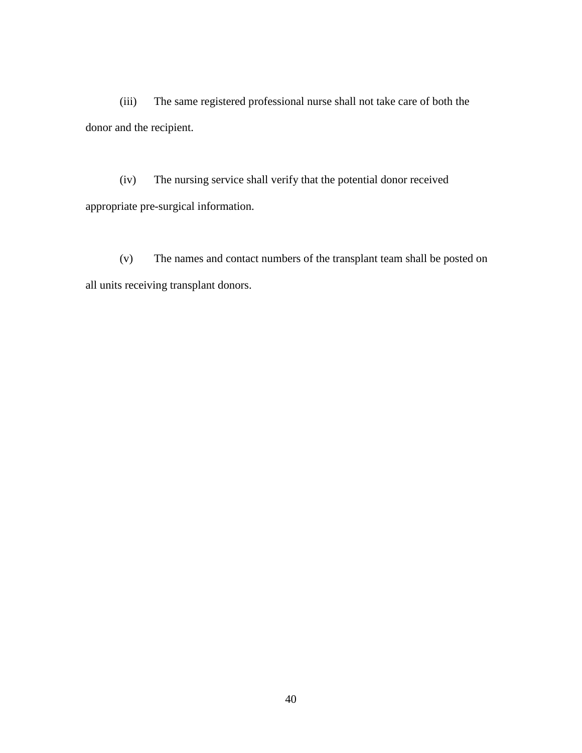(iii) The same registered professional nurse shall not take care of both the donor and the recipient.

(iv) The nursing service shall verify that the potential donor received appropriate pre-surgical information.

(v) The names and contact numbers of the transplant team shall be posted on all units receiving transplant donors.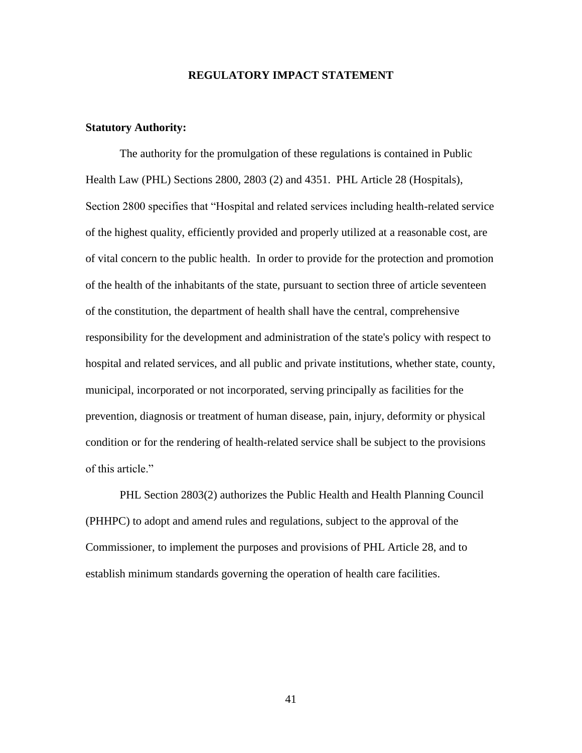### **REGULATORY IMPACT STATEMENT**

### **Statutory Authority:**

The authority for the promulgation of these regulations is contained in Public Health Law (PHL) Sections 2800, 2803 (2) and 4351. PHL Article 28 (Hospitals), Section 2800 specifies that "Hospital and related services including health-related service of the highest quality, efficiently provided and properly utilized at a reasonable cost, are of vital concern to the public health. In order to provide for the protection and promotion of the health of the inhabitants of the state, pursuant to section three of article seventeen of the constitution, the department of health shall have the central, comprehensive responsibility for the development and administration of the state's policy with respect to hospital and related services, and all public and private institutions, whether state, county, municipal, incorporated or not incorporated, serving principally as facilities for the prevention, diagnosis or treatment of human disease, pain, injury, deformity or physical condition or for the rendering of health-related service shall be subject to the provisions of this article."

PHL Section 2803(2) authorizes the Public Health and Health Planning Council (PHHPC) to adopt and amend rules and regulations, subject to the approval of the Commissioner, to implement the purposes and provisions of PHL Article 28, and to establish minimum standards governing the operation of health care facilities.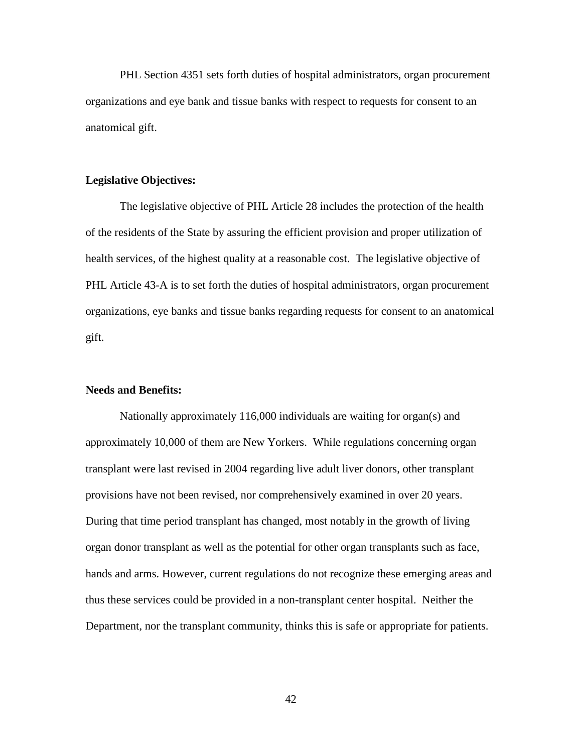PHL Section 4351 sets forth duties of hospital administrators, organ procurement organizations and eye bank and tissue banks with respect to requests for consent to an anatomical gift.

### **Legislative Objectives:**

The legislative objective of PHL Article 28 includes the protection of the health of the residents of the State by assuring the efficient provision and proper utilization of health services, of the highest quality at a reasonable cost. The legislative objective of PHL Article 43-A is to set forth the duties of hospital administrators, organ procurement organizations, eye banks and tissue banks regarding requests for consent to an anatomical gift.

### **Needs and Benefits:**

Nationally approximately 116,000 individuals are waiting for organ(s) and approximately 10,000 of them are New Yorkers. While regulations concerning organ transplant were last revised in 2004 regarding live adult liver donors, other transplant provisions have not been revised, nor comprehensively examined in over 20 years. During that time period transplant has changed, most notably in the growth of living organ donor transplant as well as the potential for other organ transplants such as face, hands and arms. However, current regulations do not recognize these emerging areas and thus these services could be provided in a non-transplant center hospital. Neither the Department, nor the transplant community, thinks this is safe or appropriate for patients.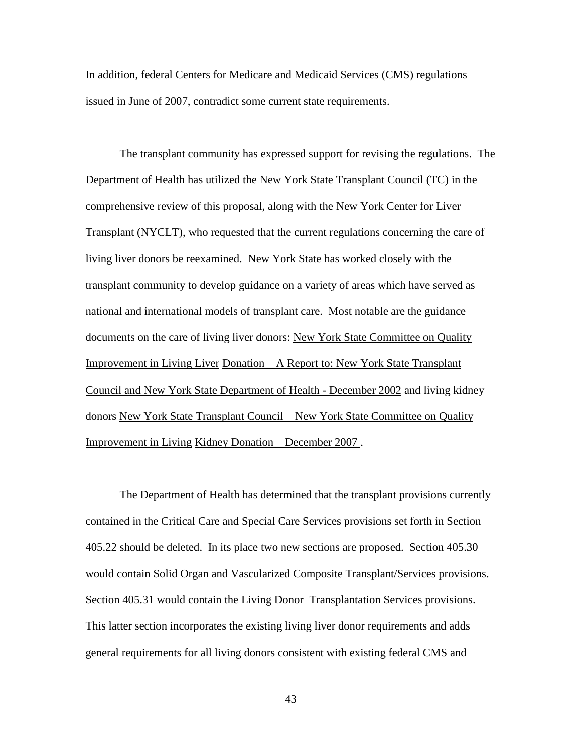In addition, federal Centers for Medicare and Medicaid Services (CMS) regulations issued in June of 2007, contradict some current state requirements.

The transplant community has expressed support for revising the regulations. The Department of Health has utilized the New York State Transplant Council (TC) in the comprehensive review of this proposal, along with the New York Center for Liver Transplant (NYCLT), who requested that the current regulations concerning the care of living liver donors be reexamined. New York State has worked closely with the transplant community to develop guidance on a variety of areas which have served as national and international models of transplant care. Most notable are the guidance documents on the care of living liver donors: New York State Committee on Quality Improvement in Living Liver Donation – A Report to: New York State Transplant Council and New York State Department of Health - December 2002 and living kidney donors New York State Transplant Council – New York State Committee on Quality Improvement in Living Kidney Donation – December 2007 .

The Department of Health has determined that the transplant provisions currently contained in the Critical Care and Special Care Services provisions set forth in Section 405.22 should be deleted. In its place two new sections are proposed. Section 405.30 would contain Solid Organ and Vascularized Composite Transplant/Services provisions. Section 405.31 would contain the Living Donor Transplantation Services provisions. This latter section incorporates the existing living liver donor requirements and adds general requirements for all living donors consistent with existing federal CMS and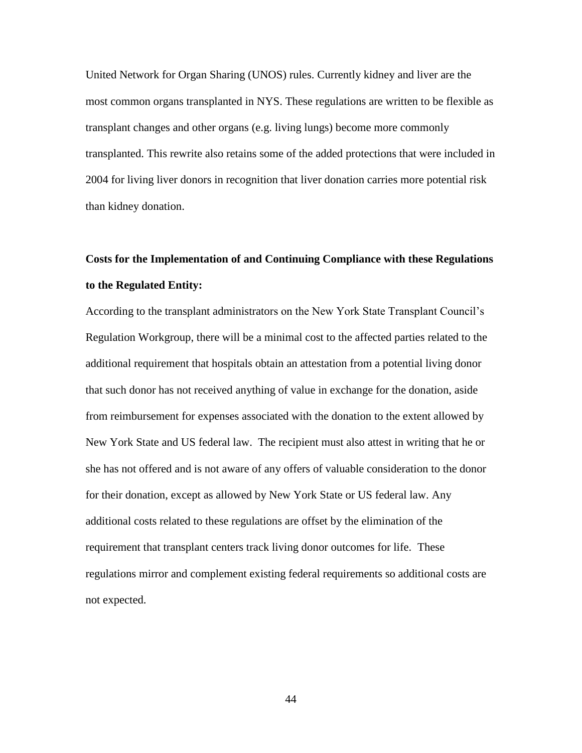United Network for Organ Sharing (UNOS) rules. Currently kidney and liver are the most common organs transplanted in NYS. These regulations are written to be flexible as transplant changes and other organs (e.g. living lungs) become more commonly transplanted. This rewrite also retains some of the added protections that were included in 2004 for living liver donors in recognition that liver donation carries more potential risk than kidney donation.

# **Costs for the Implementation of and Continuing Compliance with these Regulations to the Regulated Entity:**

According to the transplant administrators on the New York State Transplant Council's Regulation Workgroup, there will be a minimal cost to the affected parties related to the additional requirement that hospitals obtain an attestation from a potential living donor that such donor has not received anything of value in exchange for the donation, aside from reimbursement for expenses associated with the donation to the extent allowed by New York State and US federal law. The recipient must also attest in writing that he or she has not offered and is not aware of any offers of valuable consideration to the donor for their donation, except as allowed by New York State or US federal law. Any additional costs related to these regulations are offset by the elimination of the requirement that transplant centers track living donor outcomes for life. These regulations mirror and complement existing federal requirements so additional costs are not expected.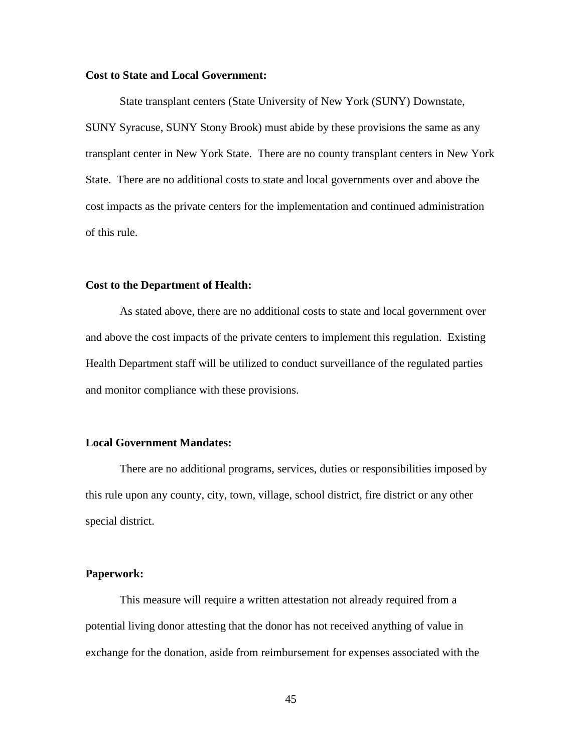### **Cost to State and Local Government:**

State transplant centers (State University of New York (SUNY) Downstate, SUNY Syracuse, SUNY Stony Brook) must abide by these provisions the same as any transplant center in New York State. There are no county transplant centers in New York State. There are no additional costs to state and local governments over and above the cost impacts as the private centers for the implementation and continued administration of this rule.

### **Cost to the Department of Health:**

As stated above, there are no additional costs to state and local government over and above the cost impacts of the private centers to implement this regulation. Existing Health Department staff will be utilized to conduct surveillance of the regulated parties and monitor compliance with these provisions.

### **Local Government Mandates:**

There are no additional programs, services, duties or responsibilities imposed by this rule upon any county, city, town, village, school district, fire district or any other special district.

### **Paperwork:**

This measure will require a written attestation not already required from a potential living donor attesting that the donor has not received anything of value in exchange for the donation, aside from reimbursement for expenses associated with the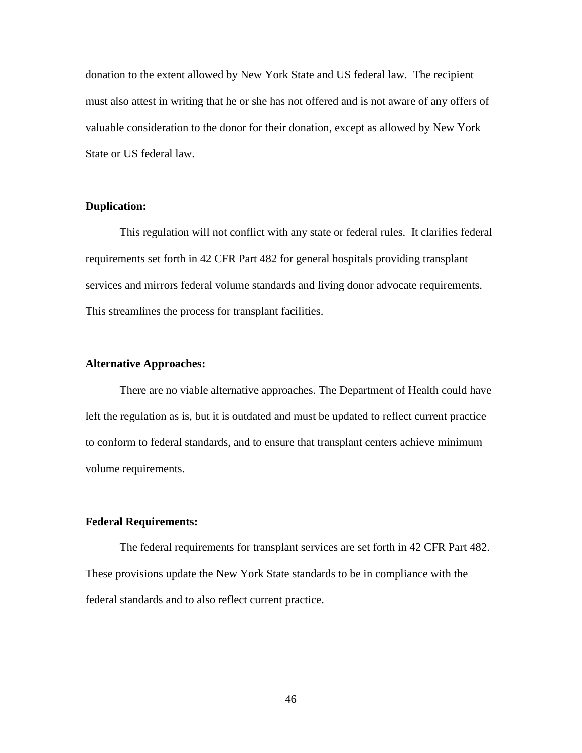donation to the extent allowed by New York State and US federal law. The recipient must also attest in writing that he or she has not offered and is not aware of any offers of valuable consideration to the donor for their donation, except as allowed by New York State or US federal law.

### **Duplication:**

This regulation will not conflict with any state or federal rules. It clarifies federal requirements set forth in 42 CFR Part 482 for general hospitals providing transplant services and mirrors federal volume standards and living donor advocate requirements. This streamlines the process for transplant facilities.

### **Alternative Approaches:**

There are no viable alternative approaches. The Department of Health could have left the regulation as is, but it is outdated and must be updated to reflect current practice to conform to federal standards, and to ensure that transplant centers achieve minimum volume requirements.

### **Federal Requirements:**

The federal requirements for transplant services are set forth in 42 CFR Part 482. These provisions update the New York State standards to be in compliance with the federal standards and to also reflect current practice.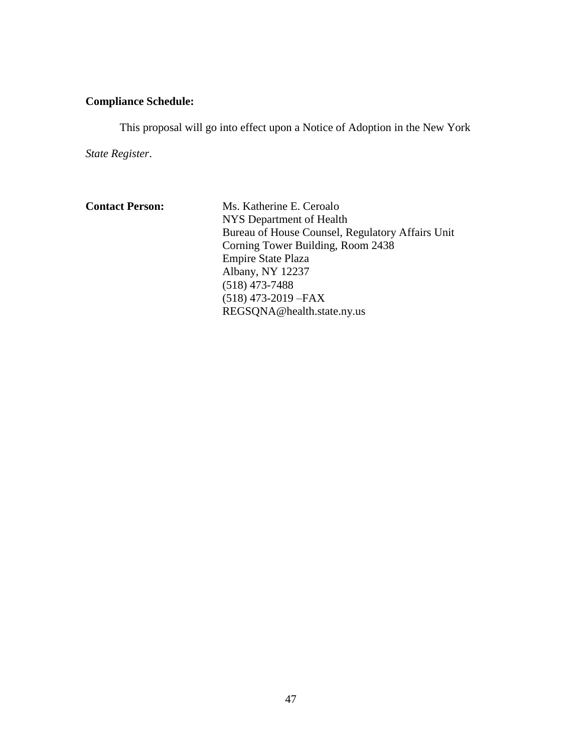# **Compliance Schedule:**

This proposal will go into effect upon a Notice of Adoption in the New York

*State Register*.

| Ms. Katherine E. Ceroalo                         |
|--------------------------------------------------|
| NYS Department of Health                         |
| Bureau of House Counsel, Regulatory Affairs Unit |
| Corning Tower Building, Room 2438                |
| <b>Empire State Plaza</b>                        |
| Albany, NY 12237                                 |
| $(518)$ 473-7488                                 |
| $(518)$ 473-2019 - FAX                           |
| REGSQNA@health.state.ny.us                       |
|                                                  |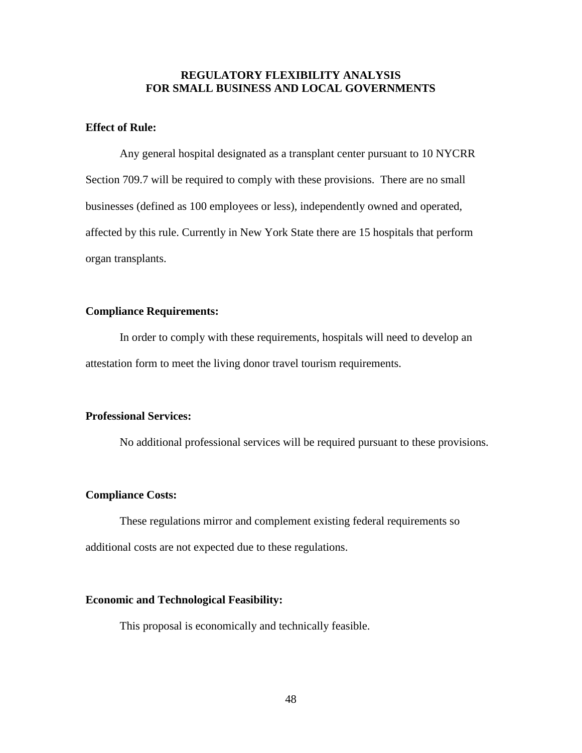# **REGULATORY FLEXIBILITY ANALYSIS FOR SMALL BUSINESS AND LOCAL GOVERNMENTS**

# **Effect of Rule:**

Any general hospital designated as a transplant center pursuant to 10 NYCRR Section 709.7 will be required to comply with these provisions. There are no small businesses (defined as 100 employees or less), independently owned and operated, affected by this rule. Currently in New York State there are 15 hospitals that perform organ transplants.

### **Compliance Requirements:**

In order to comply with these requirements, hospitals will need to develop an attestation form to meet the living donor travel tourism requirements.

### **Professional Services:**

No additional professional services will be required pursuant to these provisions.

### **Compliance Costs:**

These regulations mirror and complement existing federal requirements so additional costs are not expected due to these regulations.

### **Economic and Technological Feasibility:**

This proposal is economically and technically feasible.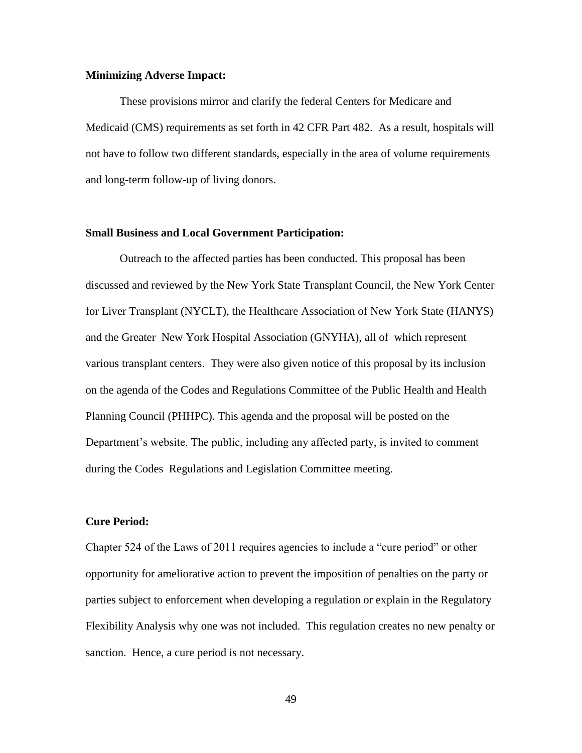### **Minimizing Adverse Impact:**

These provisions mirror and clarify the federal Centers for Medicare and Medicaid (CMS) requirements as set forth in 42 CFR Part 482. As a result, hospitals will not have to follow two different standards, especially in the area of volume requirements and long-term follow-up of living donors.

### **Small Business and Local Government Participation:**

Outreach to the affected parties has been conducted. This proposal has been discussed and reviewed by the New York State Transplant Council, the New York Center for Liver Transplant (NYCLT), the Healthcare Association of New York State (HANYS) and the Greater New York Hospital Association (GNYHA), all of which represent various transplant centers. They were also given notice of this proposal by its inclusion on the agenda of the Codes and Regulations Committee of the Public Health and Health Planning Council (PHHPC). This agenda and the proposal will be posted on the Department's website. The public, including any affected party, is invited to comment during the Codes Regulations and Legislation Committee meeting.

### **Cure Period:**

Chapter 524 of the Laws of 2011 requires agencies to include a "cure period" or other opportunity for ameliorative action to prevent the imposition of penalties on the party or parties subject to enforcement when developing a regulation or explain in the Regulatory Flexibility Analysis why one was not included. This regulation creates no new penalty or sanction. Hence, a cure period is not necessary.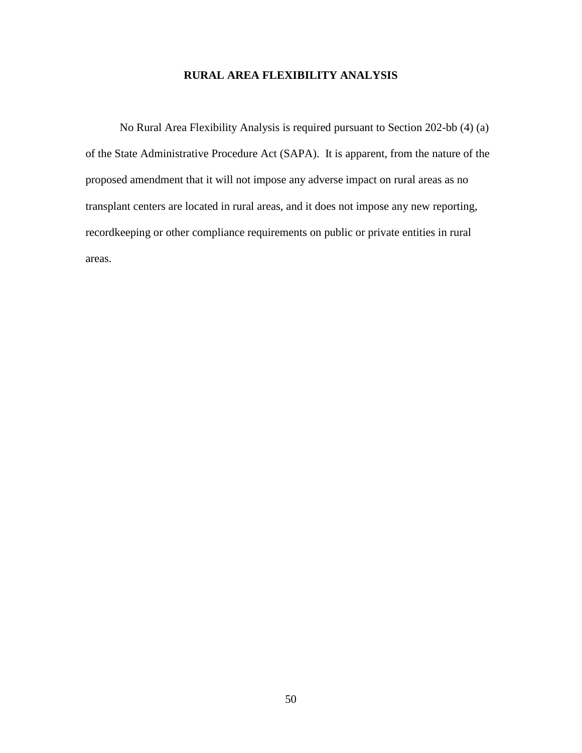# **RURAL AREA FLEXIBILITY ANALYSIS**

No Rural Area Flexibility Analysis is required pursuant to Section 202-bb (4) (a) of the State Administrative Procedure Act (SAPA). It is apparent, from the nature of the proposed amendment that it will not impose any adverse impact on rural areas as no transplant centers are located in rural areas, and it does not impose any new reporting, recordkeeping or other compliance requirements on public or private entities in rural areas.